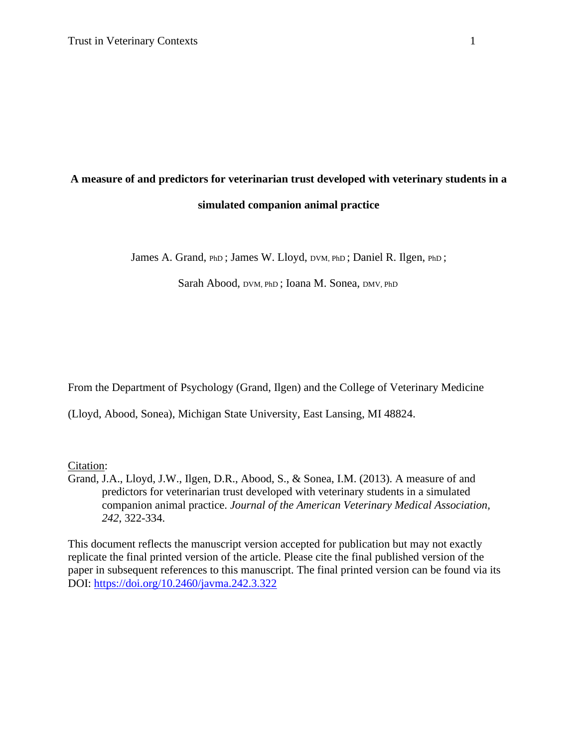# **A measure of and predictors for veterinarian trust developed with veterinary students in a simulated companion animal practice**

James A. Grand, PhD; James W. Lloyd, DVM, PhD; Daniel R. Ilgen, PhD;

Sarah Abood, DVM, PhD ; Ioana M. Sonea, DMV, PhD

From the Department of Psychology (Grand, Ilgen) and the College of Veterinary Medicine

(Lloyd, Abood, Sonea), Michigan State University, East Lansing, MI 48824.

Citation:

Grand, J.A., Lloyd, J.W., Ilgen, D.R., Abood, S., & Sonea, I.M. (2013). A measure of and predictors for veterinarian trust developed with veterinary students in a simulated companion animal practice. *Journal of the American Veterinary Medical Association, 242*, 322-334.

This document reflects the manuscript version accepted for publication but may not exactly replicate the final printed version of the article. Please cite the final published version of the paper in subsequent references to this manuscript. The final printed version can be found via its DOI:<https://doi.org/10.2460/javma.242.3.322>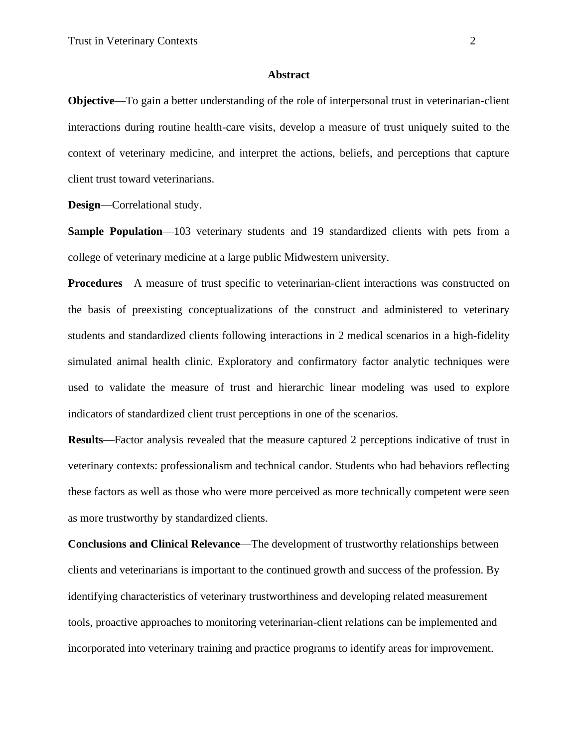## **Abstract**

**Objective**—To gain a better understanding of the role of interpersonal trust in veterinarian-client interactions during routine health-care visits, develop a measure of trust uniquely suited to the context of veterinary medicine, and interpret the actions, beliefs, and perceptions that capture client trust toward veterinarians.

**Design**—Correlational study.

**Sample Population—103** veterinary students and 19 standardized clients with pets from a college of veterinary medicine at a large public Midwestern university.

**Procedures**—A measure of trust specific to veterinarian-client interactions was constructed on the basis of preexisting conceptualizations of the construct and administered to veterinary students and standardized clients following interactions in 2 medical scenarios in a high-fidelity simulated animal health clinic. Exploratory and confirmatory factor analytic techniques were used to validate the measure of trust and hierarchic linear modeling was used to explore indicators of standardized client trust perceptions in one of the scenarios.

**Results**—Factor analysis revealed that the measure captured 2 perceptions indicative of trust in veterinary contexts: professionalism and technical candor. Students who had behaviors reflecting these factors as well as those who were more perceived as more technically competent were seen as more trustworthy by standardized clients.

**Conclusions and Clinical Relevance**—The development of trustworthy relationships between clients and veterinarians is important to the continued growth and success of the profession. By identifying characteristics of veterinary trustworthiness and developing related measurement tools, proactive approaches to monitoring veterinarian-client relations can be implemented and incorporated into veterinary training and practice programs to identify areas for improvement.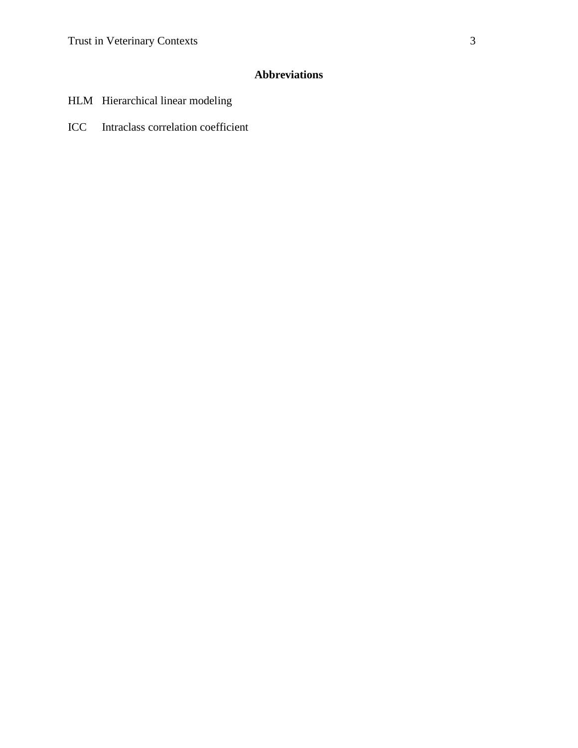# **Abbreviations**

- HLM Hierarchical linear modeling
- ICC Intraclass correlation coefficient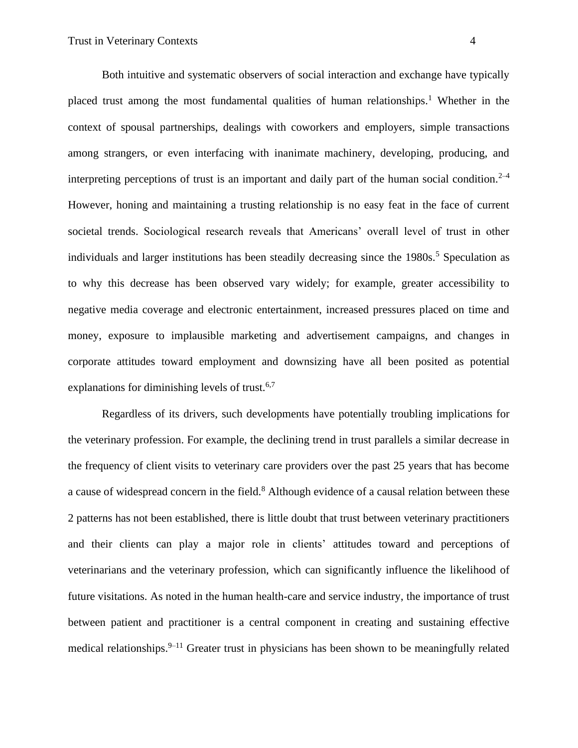Both intuitive and systematic observers of social interaction and exchange have typically placed trust among the most fundamental qualities of human relationships.<sup>1</sup> Whether in the context of spousal partnerships, dealings with coworkers and employers, simple transactions among strangers, or even interfacing with inanimate machinery, developing, producing, and interpreting perceptions of trust is an important and daily part of the human social condition.<sup>2–4</sup> However, honing and maintaining a trusting relationship is no easy feat in the face of current societal trends. Sociological research reveals that Americans' overall level of trust in other individuals and larger institutions has been steadily decreasing since the 1980s.<sup>5</sup> Speculation as to why this decrease has been observed vary widely; for example, greater accessibility to negative media coverage and electronic entertainment, increased pressures placed on time and money, exposure to implausible marketing and advertisement campaigns, and changes in corporate attitudes toward employment and downsizing have all been posited as potential explanations for diminishing levels of trust.<sup>6,7</sup>

Regardless of its drivers, such developments have potentially troubling implications for the veterinary profession. For example, the declining trend in trust parallels a similar decrease in the frequency of client visits to veterinary care providers over the past 25 years that has become a cause of widespread concern in the field.<sup>8</sup> Although evidence of a causal relation between these 2 patterns has not been established, there is little doubt that trust between veterinary practitioners and their clients can play a major role in clients' attitudes toward and perceptions of veterinarians and the veterinary profession, which can significantly influence the likelihood of future visitations. As noted in the human health-care and service industry, the importance of trust between patient and practitioner is a central component in creating and sustaining effective medical relationships.<sup>9–11</sup> Greater trust in physicians has been shown to be meaningfully related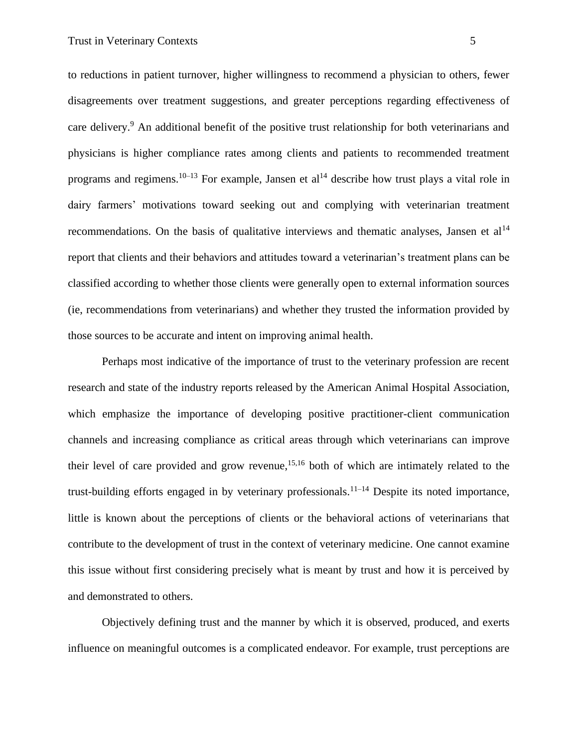to reductions in patient turnover, higher willingness to recommend a physician to others, fewer disagreements over treatment suggestions, and greater perceptions regarding effectiveness of care delivery.<sup>9</sup> An additional benefit of the positive trust relationship for both veterinarians and physicians is higher compliance rates among clients and patients to recommended treatment programs and regimens.<sup>10–13</sup> For example, Jansen et al<sup>14</sup> describe how trust plays a vital role in dairy farmers' motivations toward seeking out and complying with veterinarian treatment recommendations. On the basis of qualitative interviews and thematic analyses, Jansen et al<sup>14</sup> report that clients and their behaviors and attitudes toward a veterinarian's treatment plans can be classified according to whether those clients were generally open to external information sources (ie, recommendations from veterinarians) and whether they trusted the information provided by those sources to be accurate and intent on improving animal health.

Perhaps most indicative of the importance of trust to the veterinary profession are recent research and state of the industry reports released by the American Animal Hospital Association, which emphasize the importance of developing positive practitioner-client communication channels and increasing compliance as critical areas through which veterinarians can improve their level of care provided and grow revenue, 15,16 both of which are intimately related to the trust-building efforts engaged in by veterinary professionals.<sup>11–14</sup> Despite its noted importance, little is known about the perceptions of clients or the behavioral actions of veterinarians that contribute to the development of trust in the context of veterinary medicine. One cannot examine this issue without first considering precisely what is meant by trust and how it is perceived by and demonstrated to others.

Objectively defining trust and the manner by which it is observed, produced, and exerts influence on meaningful outcomes is a complicated endeavor. For example, trust perceptions are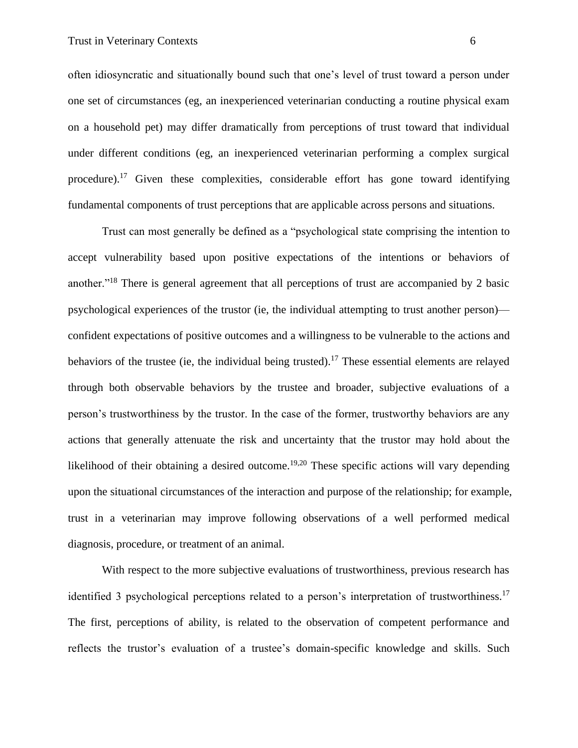often idiosyncratic and situationally bound such that one's level of trust toward a person under one set of circumstances (eg, an inexperienced veterinarian conducting a routine physical exam on a household pet) may differ dramatically from perceptions of trust toward that individual under different conditions (eg, an inexperienced veterinarian performing a complex surgical procedure).<sup>17</sup> Given these complexities, considerable effort has gone toward identifying fundamental components of trust perceptions that are applicable across persons and situations.

Trust can most generally be defined as a "psychological state comprising the intention to accept vulnerability based upon positive expectations of the intentions or behaviors of another."<sup>18</sup> There is general agreement that all perceptions of trust are accompanied by 2 basic psychological experiences of the trustor (ie, the individual attempting to trust another person) confident expectations of positive outcomes and a willingness to be vulnerable to the actions and behaviors of the trustee (ie, the individual being trusted).<sup>17</sup> These essential elements are relayed through both observable behaviors by the trustee and broader, subjective evaluations of a person's trustworthiness by the trustor. In the case of the former, trustworthy behaviors are any actions that generally attenuate the risk and uncertainty that the trustor may hold about the likelihood of their obtaining a desired outcome.<sup>19,20</sup> These specific actions will vary depending upon the situational circumstances of the interaction and purpose of the relationship; for example, trust in a veterinarian may improve following observations of a well performed medical diagnosis, procedure, or treatment of an animal.

With respect to the more subjective evaluations of trustworthiness, previous research has identified 3 psychological perceptions related to a person's interpretation of trustworthiness.<sup>17</sup> The first, perceptions of ability, is related to the observation of competent performance and reflects the trustor's evaluation of a trustee's domain-specific knowledge and skills. Such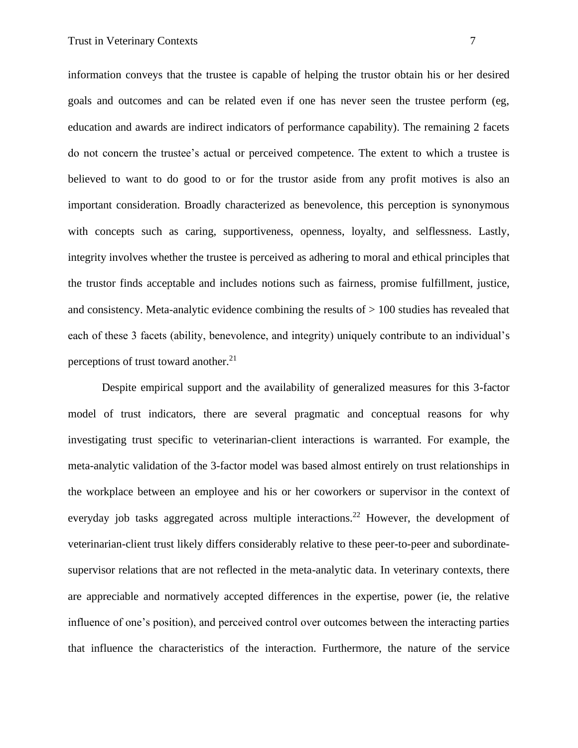information conveys that the trustee is capable of helping the trustor obtain his or her desired goals and outcomes and can be related even if one has never seen the trustee perform (eg, education and awards are indirect indicators of performance capability). The remaining 2 facets do not concern the trustee's actual or perceived competence. The extent to which a trustee is believed to want to do good to or for the trustor aside from any profit motives is also an important consideration. Broadly characterized as benevolence, this perception is synonymous with concepts such as caring, supportiveness, openness, loyalty, and selflessness. Lastly, integrity involves whether the trustee is perceived as adhering to moral and ethical principles that the trustor finds acceptable and includes notions such as fairness, promise fulfillment, justice, and consistency. Meta-analytic evidence combining the results of > 100 studies has revealed that each of these 3 facets (ability, benevolence, and integrity) uniquely contribute to an individual's perceptions of trust toward another. $21$ 

Despite empirical support and the availability of generalized measures for this 3-factor model of trust indicators, there are several pragmatic and conceptual reasons for why investigating trust specific to veterinarian-client interactions is warranted. For example, the meta-analytic validation of the 3-factor model was based almost entirely on trust relationships in the workplace between an employee and his or her coworkers or supervisor in the context of everyday job tasks aggregated across multiple interactions.<sup>22</sup> However, the development of veterinarian-client trust likely differs considerably relative to these peer-to-peer and subordinatesupervisor relations that are not reflected in the meta-analytic data. In veterinary contexts, there are appreciable and normatively accepted differences in the expertise, power (ie, the relative influence of one's position), and perceived control over outcomes between the interacting parties that influence the characteristics of the interaction. Furthermore, the nature of the service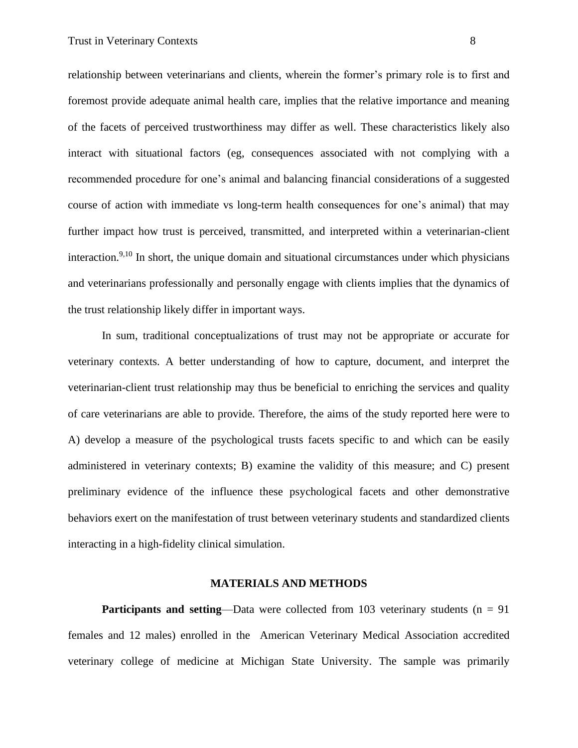relationship between veterinarians and clients, wherein the former's primary role is to first and foremost provide adequate animal health care, implies that the relative importance and meaning of the facets of perceived trustworthiness may differ as well. These characteristics likely also interact with situational factors (eg, consequences associated with not complying with a recommended procedure for one's animal and balancing financial considerations of a suggested course of action with immediate vs long-term health consequences for one's animal) that may further impact how trust is perceived, transmitted, and interpreted within a veterinarian-client interaction.<sup>9,10</sup> In short, the unique domain and situational circumstances under which physicians and veterinarians professionally and personally engage with clients implies that the dynamics of the trust relationship likely differ in important ways.

In sum, traditional conceptualizations of trust may not be appropriate or accurate for veterinary contexts. A better understanding of how to capture, document, and interpret the veterinarian-client trust relationship may thus be beneficial to enriching the services and quality of care veterinarians are able to provide. Therefore, the aims of the study reported here were to A) develop a measure of the psychological trusts facets specific to and which can be easily administered in veterinary contexts; B) examine the validity of this measure; and C) present preliminary evidence of the influence these psychological facets and other demonstrative behaviors exert on the manifestation of trust between veterinary students and standardized clients interacting in a high-fidelity clinical simulation.

## **MATERIALS AND METHODS**

**Participants and setting—Data were collected from 103 veterinary students (n = 91)** females and 12 males) enrolled in the American Veterinary Medical Association accredited veterinary college of medicine at Michigan State University. The sample was primarily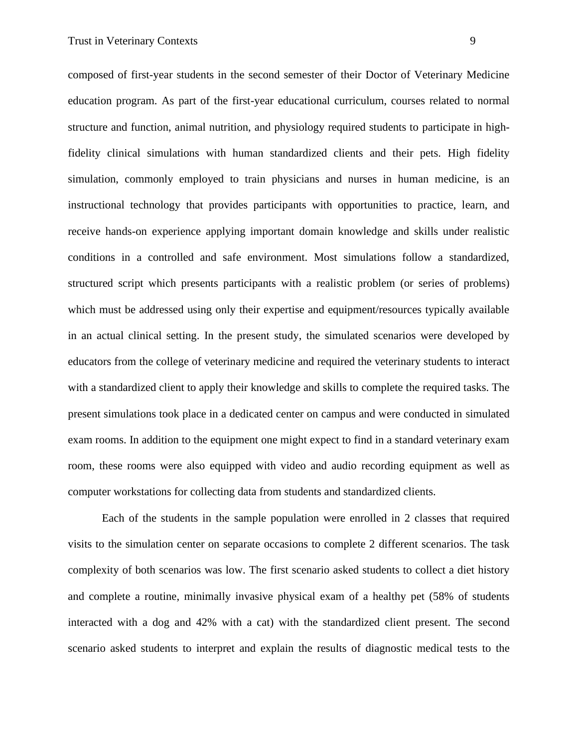composed of first-year students in the second semester of their Doctor of Veterinary Medicine education program. As part of the first-year educational curriculum, courses related to normal structure and function, animal nutrition, and physiology required students to participate in highfidelity clinical simulations with human standardized clients and their pets. High fidelity simulation, commonly employed to train physicians and nurses in human medicine, is an instructional technology that provides participants with opportunities to practice, learn, and receive hands-on experience applying important domain knowledge and skills under realistic conditions in a controlled and safe environment. Most simulations follow a standardized, structured script which presents participants with a realistic problem (or series of problems) which must be addressed using only their expertise and equipment/resources typically available in an actual clinical setting. In the present study, the simulated scenarios were developed by educators from the college of veterinary medicine and required the veterinary students to interact with a standardized client to apply their knowledge and skills to complete the required tasks. The present simulations took place in a dedicated center on campus and were conducted in simulated exam rooms. In addition to the equipment one might expect to find in a standard veterinary exam room, these rooms were also equipped with video and audio recording equipment as well as

Each of the students in the sample population were enrolled in 2 classes that required visits to the simulation center on separate occasions to complete 2 different scenarios. The task complexity of both scenarios was low. The first scenario asked students to collect a diet history and complete a routine, minimally invasive physical exam of a healthy pet (58% of students interacted with a dog and 42% with a cat) with the standardized client present. The second scenario asked students to interpret and explain the results of diagnostic medical tests to the

computer workstations for collecting data from students and standardized clients.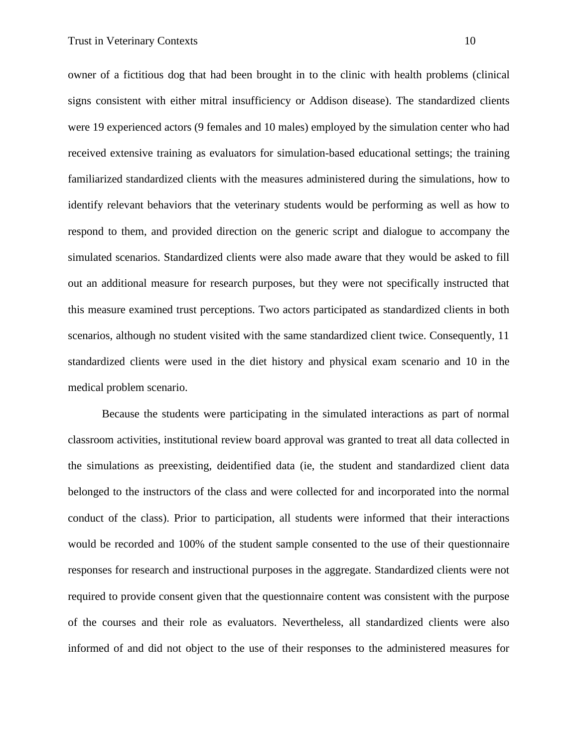owner of a fictitious dog that had been brought in to the clinic with health problems (clinical signs consistent with either mitral insufficiency or Addison disease). The standardized clients were 19 experienced actors (9 females and 10 males) employed by the simulation center who had received extensive training as evaluators for simulation-based educational settings; the training familiarized standardized clients with the measures administered during the simulations, how to identify relevant behaviors that the veterinary students would be performing as well as how to respond to them, and provided direction on the generic script and dialogue to accompany the simulated scenarios. Standardized clients were also made aware that they would be asked to fill out an additional measure for research purposes, but they were not specifically instructed that this measure examined trust perceptions. Two actors participated as standardized clients in both scenarios, although no student visited with the same standardized client twice. Consequently, 11 standardized clients were used in the diet history and physical exam scenario and 10 in the medical problem scenario.

Because the students were participating in the simulated interactions as part of normal classroom activities, institutional review board approval was granted to treat all data collected in the simulations as preexisting, deidentified data (ie, the student and standardized client data belonged to the instructors of the class and were collected for and incorporated into the normal conduct of the class). Prior to participation, all students were informed that their interactions would be recorded and 100% of the student sample consented to the use of their questionnaire responses for research and instructional purposes in the aggregate. Standardized clients were not required to provide consent given that the questionnaire content was consistent with the purpose of the courses and their role as evaluators. Nevertheless, all standardized clients were also informed of and did not object to the use of their responses to the administered measures for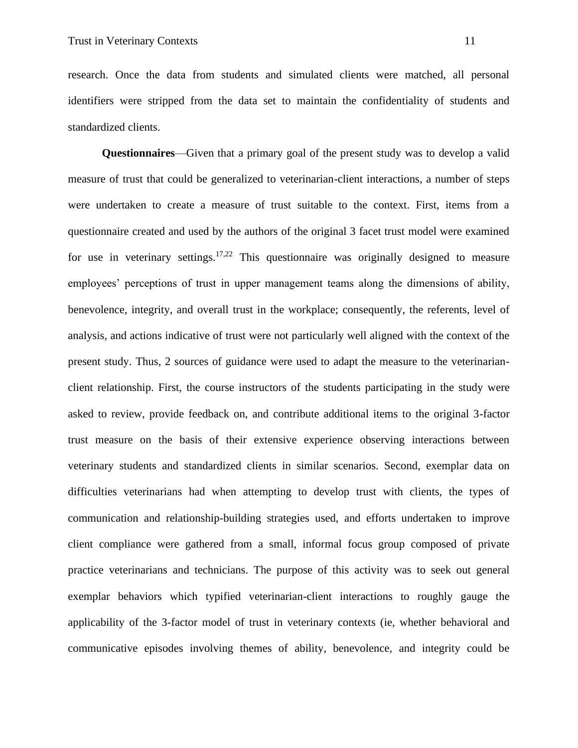research. Once the data from students and simulated clients were matched, all personal identifiers were stripped from the data set to maintain the confidentiality of students and standardized clients.

**Questionnaires**—Given that a primary goal of the present study was to develop a valid measure of trust that could be generalized to veterinarian-client interactions, a number of steps were undertaken to create a measure of trust suitable to the context. First, items from a questionnaire created and used by the authors of the original 3 facet trust model were examined for use in veterinary settings.<sup>17,22</sup> This questionnaire was originally designed to measure employees' perceptions of trust in upper management teams along the dimensions of ability, benevolence, integrity, and overall trust in the workplace; consequently, the referents, level of analysis, and actions indicative of trust were not particularly well aligned with the context of the present study. Thus, 2 sources of guidance were used to adapt the measure to the veterinarianclient relationship. First, the course instructors of the students participating in the study were asked to review, provide feedback on, and contribute additional items to the original 3-factor trust measure on the basis of their extensive experience observing interactions between veterinary students and standardized clients in similar scenarios. Second, exemplar data on difficulties veterinarians had when attempting to develop trust with clients, the types of communication and relationship-building strategies used, and efforts undertaken to improve client compliance were gathered from a small, informal focus group composed of private practice veterinarians and technicians. The purpose of this activity was to seek out general exemplar behaviors which typified veterinarian-client interactions to roughly gauge the applicability of the 3-factor model of trust in veterinary contexts (ie, whether behavioral and communicative episodes involving themes of ability, benevolence, and integrity could be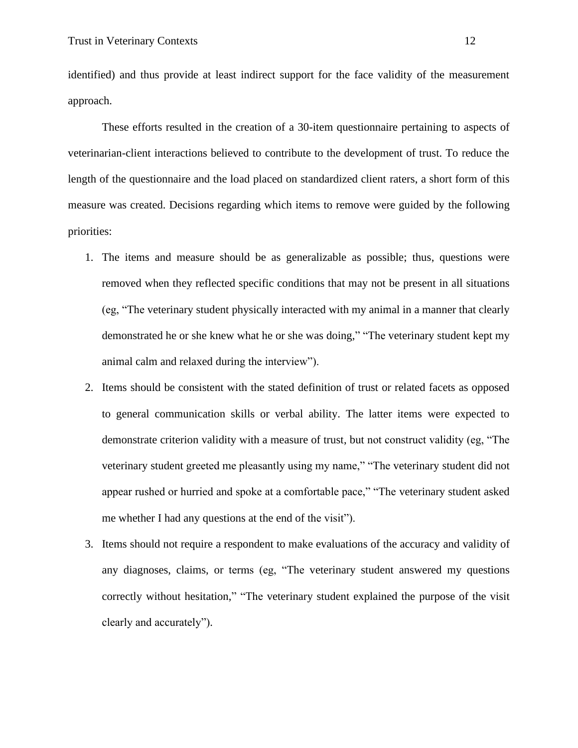identified) and thus provide at least indirect support for the face validity of the measurement approach.

These efforts resulted in the creation of a 30-item questionnaire pertaining to aspects of veterinarian-client interactions believed to contribute to the development of trust. To reduce the length of the questionnaire and the load placed on standardized client raters, a short form of this measure was created. Decisions regarding which items to remove were guided by the following priorities:

- 1. The items and measure should be as generalizable as possible; thus, questions were removed when they reflected specific conditions that may not be present in all situations (eg, "The veterinary student physically interacted with my animal in a manner that clearly demonstrated he or she knew what he or she was doing," "The veterinary student kept my animal calm and relaxed during the interview").
- 2. Items should be consistent with the stated definition of trust or related facets as opposed to general communication skills or verbal ability. The latter items were expected to demonstrate criterion validity with a measure of trust, but not construct validity (eg, "The veterinary student greeted me pleasantly using my name," "The veterinary student did not appear rushed or hurried and spoke at a comfortable pace," "The veterinary student asked me whether I had any questions at the end of the visit").
- 3. Items should not require a respondent to make evaluations of the accuracy and validity of any diagnoses, claims, or terms (eg, "The veterinary student answered my questions correctly without hesitation," "The veterinary student explained the purpose of the visit clearly and accurately").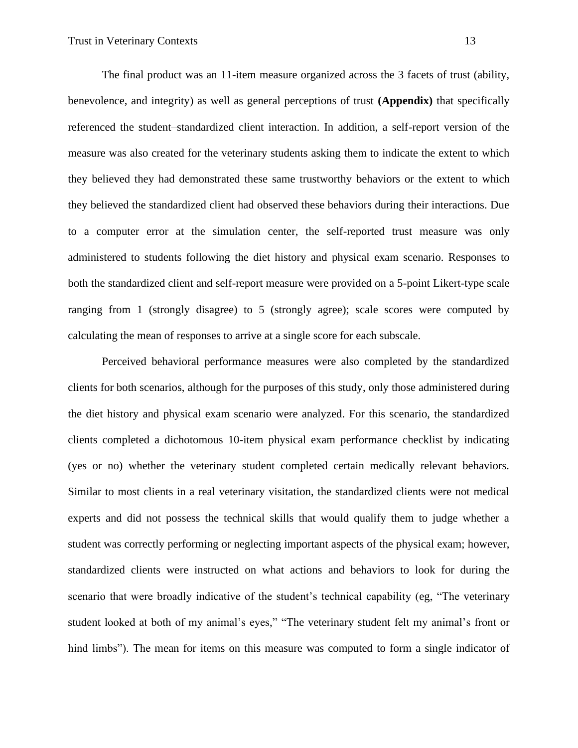The final product was an 11-item measure organized across the 3 facets of trust (ability, benevolence, and integrity) as well as general perceptions of trust **(Appendix)** that specifically referenced the student–standardized client interaction. In addition, a self-report version of the measure was also created for the veterinary students asking them to indicate the extent to which they believed they had demonstrated these same trustworthy behaviors or the extent to which they believed the standardized client had observed these behaviors during their interactions. Due to a computer error at the simulation center, the self-reported trust measure was only administered to students following the diet history and physical exam scenario. Responses to both the standardized client and self-report measure were provided on a 5-point Likert-type scale ranging from 1 (strongly disagree) to 5 (strongly agree); scale scores were computed by calculating the mean of responses to arrive at a single score for each subscale.

Perceived behavioral performance measures were also completed by the standardized clients for both scenarios, although for the purposes of this study, only those administered during the diet history and physical exam scenario were analyzed. For this scenario, the standardized clients completed a dichotomous 10-item physical exam performance checklist by indicating (yes or no) whether the veterinary student completed certain medically relevant behaviors. Similar to most clients in a real veterinary visitation, the standardized clients were not medical experts and did not possess the technical skills that would qualify them to judge whether a student was correctly performing or neglecting important aspects of the physical exam; however, standardized clients were instructed on what actions and behaviors to look for during the scenario that were broadly indicative of the student's technical capability (eg, "The veterinary student looked at both of my animal's eyes," "The veterinary student felt my animal's front or hind limbs"). The mean for items on this measure was computed to form a single indicator of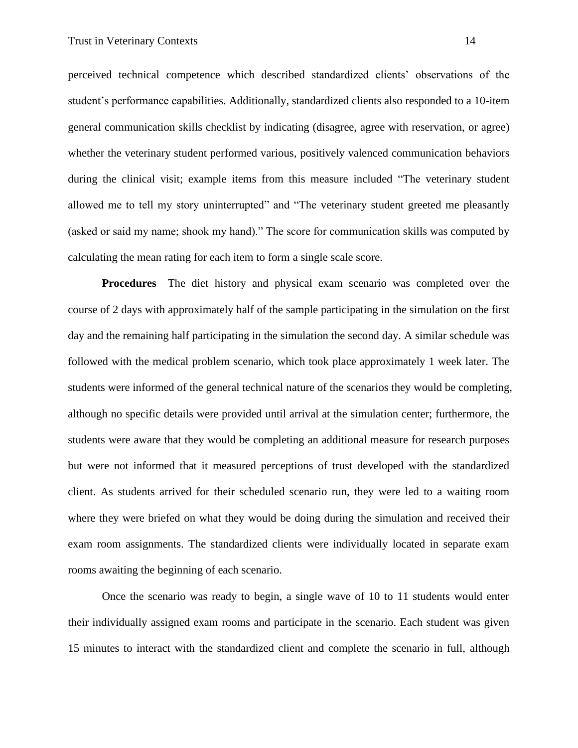perceived technical competence which described standardized clients' observations of the student's performance capabilities. Additionally, standardized clients also responded to a 10-item general communication skills checklist by indicating (disagree, agree with reservation, or agree) whether the veterinary student performed various, positively valenced communication behaviors during the clinical visit; example items from this measure included "The veterinary student allowed me to tell my story uninterrupted" and "The veterinary student greeted me pleasantly (asked or said my name; shook my hand)." The score for communication skills was computed by calculating the mean rating for each item to form a single scale score.

**Procedures**—The diet history and physical exam scenario was completed over the course of 2 days with approximately half of the sample participating in the simulation on the first day and the remaining half participating in the simulation the second day. A similar schedule was followed with the medical problem scenario, which took place approximately 1 week later. The students were informed of the general technical nature of the scenarios they would be completing, although no specific details were provided until arrival at the simulation center; furthermore, the students were aware that they would be completing an additional measure for research purposes but were not informed that it measured perceptions of trust developed with the standardized client. As students arrived for their scheduled scenario run, they were led to a waiting room where they were briefed on what they would be doing during the simulation and received their exam room assignments. The standardized clients were individually located in separate exam rooms awaiting the beginning of each scenario.

Once the scenario was ready to begin, a single wave of 10 to 11 students would enter their individually assigned exam rooms and participate in the scenario. Each student was given 15 minutes to interact with the standardized client and complete the scenario in full, although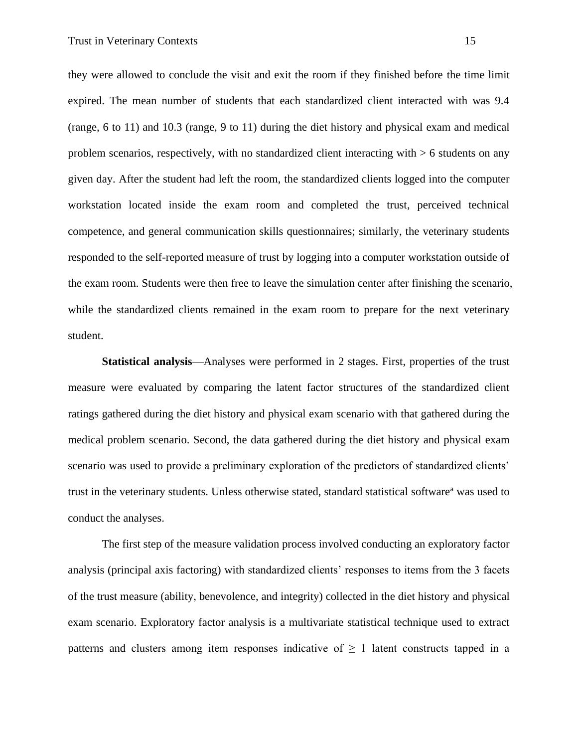they were allowed to conclude the visit and exit the room if they finished before the time limit expired. The mean number of students that each standardized client interacted with was 9.4 (range, 6 to 11) and 10.3 (range, 9 to 11) during the diet history and physical exam and medical problem scenarios, respectively, with no standardized client interacting with > 6 students on any given day. After the student had left the room, the standardized clients logged into the computer workstation located inside the exam room and completed the trust, perceived technical competence, and general communication skills questionnaires; similarly, the veterinary students responded to the self-reported measure of trust by logging into a computer workstation outside of the exam room. Students were then free to leave the simulation center after finishing the scenario, while the standardized clients remained in the exam room to prepare for the next veterinary student.

**Statistical analysis**—Analyses were performed in 2 stages. First, properties of the trust measure were evaluated by comparing the latent factor structures of the standardized client ratings gathered during the diet history and physical exam scenario with that gathered during the medical problem scenario. Second, the data gathered during the diet history and physical exam scenario was used to provide a preliminary exploration of the predictors of standardized clients' trust in the veterinary students. Unless otherwise stated, standard statistical software<sup>a</sup> was used to conduct the analyses.

The first step of the measure validation process involved conducting an exploratory factor analysis (principal axis factoring) with standardized clients' responses to items from the 3 facets of the trust measure (ability, benevolence, and integrity) collected in the diet history and physical exam scenario. Exploratory factor analysis is a multivariate statistical technique used to extract patterns and clusters among item responses indicative of  $\geq 1$  latent constructs tapped in a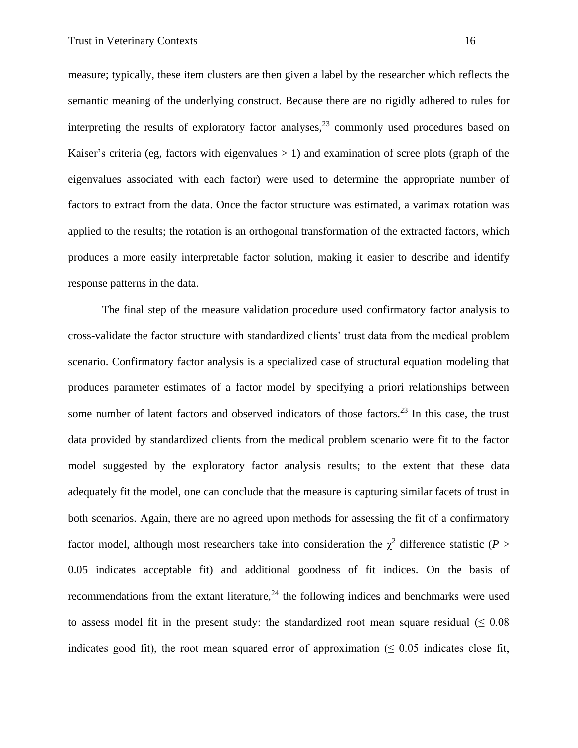measure; typically, these item clusters are then given a label by the researcher which reflects the semantic meaning of the underlying construct. Because there are no rigidly adhered to rules for interpreting the results of exploratory factor analyses,  $2<sup>3</sup>$  commonly used procedures based on Kaiser's criteria (eg, factors with eigenvalues  $> 1$ ) and examination of scree plots (graph of the eigenvalues associated with each factor) were used to determine the appropriate number of factors to extract from the data. Once the factor structure was estimated, a varimax rotation was applied to the results; the rotation is an orthogonal transformation of the extracted factors, which produces a more easily interpretable factor solution, making it easier to describe and identify response patterns in the data.

The final step of the measure validation procedure used confirmatory factor analysis to cross-validate the factor structure with standardized clients' trust data from the medical problem scenario. Confirmatory factor analysis is a specialized case of structural equation modeling that produces parameter estimates of a factor model by specifying a priori relationships between some number of latent factors and observed indicators of those factors.<sup>23</sup> In this case, the trust data provided by standardized clients from the medical problem scenario were fit to the factor model suggested by the exploratory factor analysis results; to the extent that these data adequately fit the model, one can conclude that the measure is capturing similar facets of trust in both scenarios. Again, there are no agreed upon methods for assessing the fit of a confirmatory factor model, although most researchers take into consideration the  $\chi^2$  difference statistic (*P* > 0.05 indicates acceptable fit) and additional goodness of fit indices. On the basis of recommendations from the extant literature,  $24$  the following indices and benchmarks were used to assess model fit in the present study: the standardized root mean square residual ( $\leq 0.08$ ) indicates good fit), the root mean squared error of approximation ( $\leq 0.05$  indicates close fit,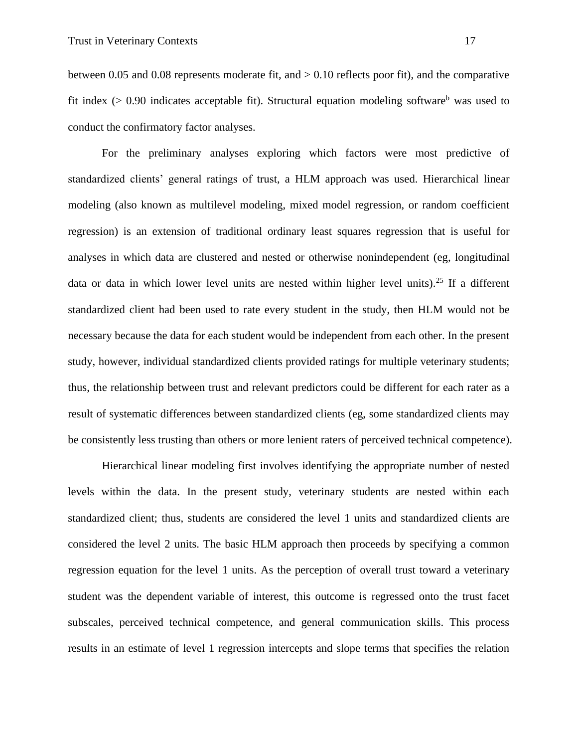between 0.05 and 0.08 represents moderate fit, and  $> 0.10$  reflects poor fit), and the comparative fit index ( $> 0.90$  indicates acceptable fit). Structural equation modeling software<sup>b</sup> was used to conduct the confirmatory factor analyses.

For the preliminary analyses exploring which factors were most predictive of standardized clients' general ratings of trust, a HLM approach was used. Hierarchical linear modeling (also known as multilevel modeling, mixed model regression, or random coefficient regression) is an extension of traditional ordinary least squares regression that is useful for analyses in which data are clustered and nested or otherwise nonindependent (eg, longitudinal data or data in which lower level units are nested within higher level units).<sup>25</sup> If a different standardized client had been used to rate every student in the study, then HLM would not be necessary because the data for each student would be independent from each other. In the present study, however, individual standardized clients provided ratings for multiple veterinary students; thus, the relationship between trust and relevant predictors could be different for each rater as a result of systematic differences between standardized clients (eg, some standardized clients may be consistently less trusting than others or more lenient raters of perceived technical competence).

Hierarchical linear modeling first involves identifying the appropriate number of nested levels within the data. In the present study, veterinary students are nested within each standardized client; thus, students are considered the level 1 units and standardized clients are considered the level 2 units. The basic HLM approach then proceeds by specifying a common regression equation for the level 1 units. As the perception of overall trust toward a veterinary student was the dependent variable of interest, this outcome is regressed onto the trust facet subscales, perceived technical competence, and general communication skills. This process results in an estimate of level 1 regression intercepts and slope terms that specifies the relation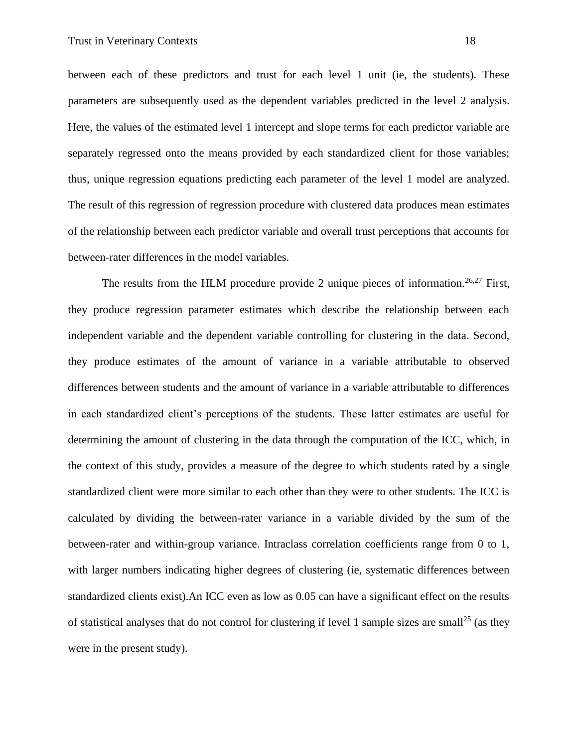between each of these predictors and trust for each level 1 unit (ie, the students). These parameters are subsequently used as the dependent variables predicted in the level 2 analysis. Here, the values of the estimated level 1 intercept and slope terms for each predictor variable are separately regressed onto the means provided by each standardized client for those variables; thus, unique regression equations predicting each parameter of the level 1 model are analyzed. The result of this regression of regression procedure with clustered data produces mean estimates of the relationship between each predictor variable and overall trust perceptions that accounts for between-rater differences in the model variables.

The results from the HLM procedure provide 2 unique pieces of information.<sup>26,27</sup> First, they produce regression parameter estimates which describe the relationship between each independent variable and the dependent variable controlling for clustering in the data. Second, they produce estimates of the amount of variance in a variable attributable to observed differences between students and the amount of variance in a variable attributable to differences in each standardized client's perceptions of the students. These latter estimates are useful for determining the amount of clustering in the data through the computation of the ICC, which, in the context of this study, provides a measure of the degree to which students rated by a single standardized client were more similar to each other than they were to other students. The ICC is calculated by dividing the between-rater variance in a variable divided by the sum of the between-rater and within-group variance. Intraclass correlation coefficients range from 0 to 1, with larger numbers indicating higher degrees of clustering (ie, systematic differences between standardized clients exist).An ICC even as low as 0.05 can have a significant effect on the results of statistical analyses that do not control for clustering if level 1 sample sizes are small<sup>25</sup> (as they were in the present study).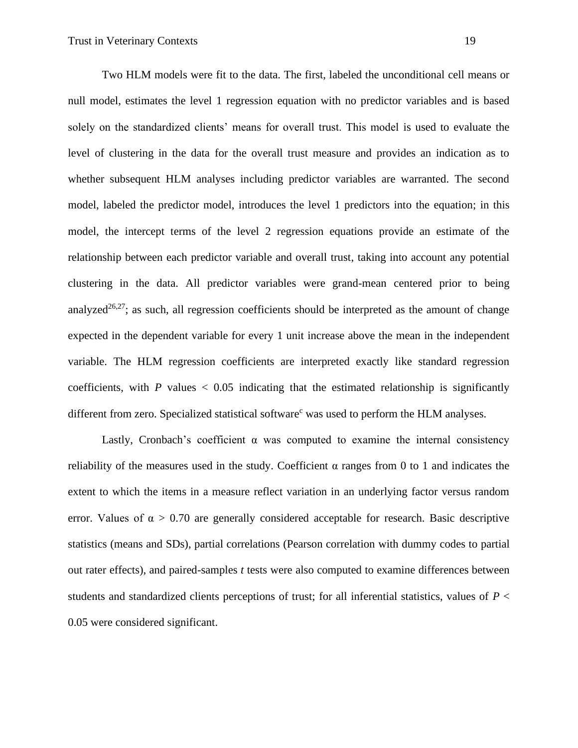Two HLM models were fit to the data. The first, labeled the unconditional cell means or null model, estimates the level 1 regression equation with no predictor variables and is based solely on the standardized clients' means for overall trust. This model is used to evaluate the level of clustering in the data for the overall trust measure and provides an indication as to whether subsequent HLM analyses including predictor variables are warranted. The second model, labeled the predictor model, introduces the level 1 predictors into the equation; in this model, the intercept terms of the level 2 regression equations provide an estimate of the relationship between each predictor variable and overall trust, taking into account any potential clustering in the data. All predictor variables were grand-mean centered prior to being analyzed<sup>26,27</sup>; as such, all regression coefficients should be interpreted as the amount of change expected in the dependent variable for every 1 unit increase above the mean in the independent variable. The HLM regression coefficients are interpreted exactly like standard regression coefficients, with  $P$  values  $\langle 0.05 \rangle$  indicating that the estimated relationship is significantly different from zero. Specialized statistical software<sup>c</sup> was used to perform the HLM analyses.

Lastly, Cronbach's coefficient  $\alpha$  was computed to examine the internal consistency reliability of the measures used in the study. Coefficient  $\alpha$  ranges from 0 to 1 and indicates the extent to which the items in a measure reflect variation in an underlying factor versus random error. Values of  $\alpha > 0.70$  are generally considered acceptable for research. Basic descriptive statistics (means and SDs), partial correlations (Pearson correlation with dummy codes to partial out rater effects), and paired-samples *t* tests were also computed to examine differences between students and standardized clients perceptions of trust; for all inferential statistics, values of *P* < 0.05 were considered significant.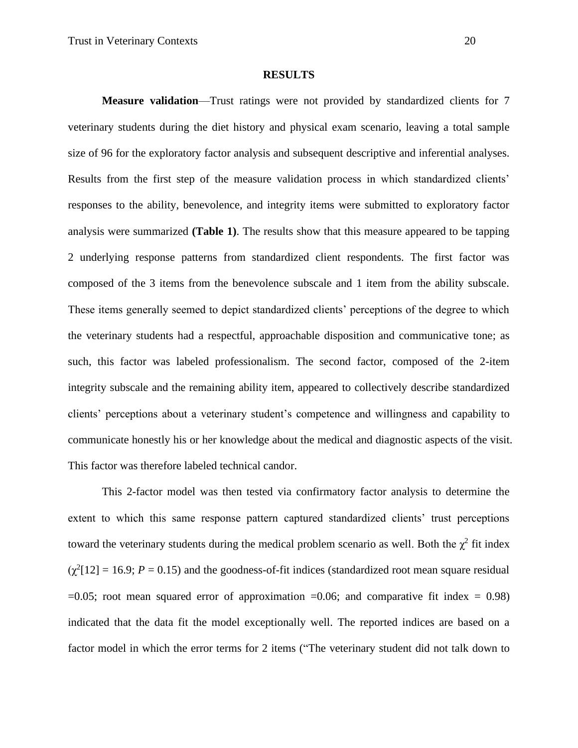### **RESULTS**

**Measure validation**—Trust ratings were not provided by standardized clients for 7 veterinary students during the diet history and physical exam scenario, leaving a total sample size of 96 for the exploratory factor analysis and subsequent descriptive and inferential analyses. Results from the first step of the measure validation process in which standardized clients' responses to the ability, benevolence, and integrity items were submitted to exploratory factor analysis were summarized **(Table 1)**. The results show that this measure appeared to be tapping 2 underlying response patterns from standardized client respondents. The first factor was composed of the 3 items from the benevolence subscale and 1 item from the ability subscale. These items generally seemed to depict standardized clients' perceptions of the degree to which the veterinary students had a respectful, approachable disposition and communicative tone; as such, this factor was labeled professionalism. The second factor, composed of the 2-item integrity subscale and the remaining ability item, appeared to collectively describe standardized clients' perceptions about a veterinary student's competence and willingness and capability to communicate honestly his or her knowledge about the medical and diagnostic aspects of the visit. This factor was therefore labeled technical candor.

This 2-factor model was then tested via confirmatory factor analysis to determine the extent to which this same response pattern captured standardized clients' trust perceptions toward the veterinary students during the medical problem scenario as well. Both the  $\chi^2$  fit index  $(\chi^2[12] = 16.9; P = 0.15)$  and the goodness-of-fit indices (standardized root mean square residual  $=0.05$ ; root mean squared error of approximation  $=0.06$ ; and comparative fit index  $= 0.98$ ) indicated that the data fit the model exceptionally well. The reported indices are based on a factor model in which the error terms for 2 items ("The veterinary student did not talk down to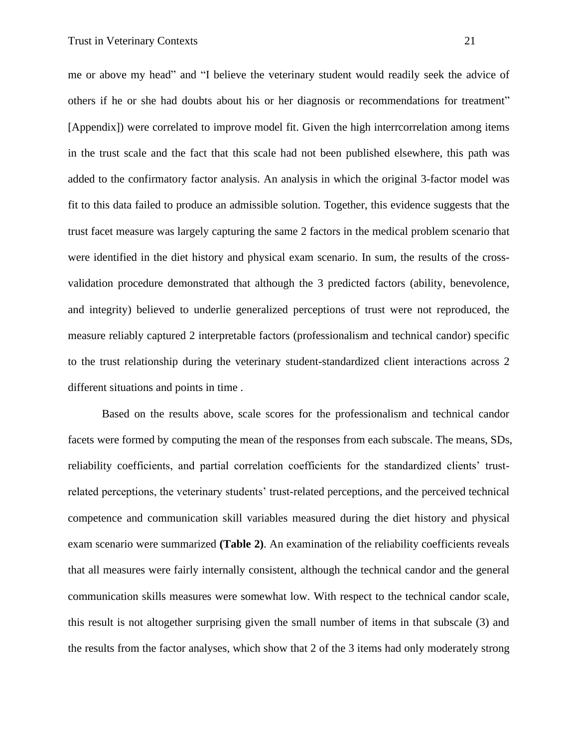me or above my head" and "I believe the veterinary student would readily seek the advice of others if he or she had doubts about his or her diagnosis or recommendations for treatment" [Appendix]) were correlated to improve model fit. Given the high interrcorrelation among items in the trust scale and the fact that this scale had not been published elsewhere, this path was added to the confirmatory factor analysis. An analysis in which the original 3-factor model was fit to this data failed to produce an admissible solution. Together, this evidence suggests that the trust facet measure was largely capturing the same 2 factors in the medical problem scenario that were identified in the diet history and physical exam scenario. In sum, the results of the crossvalidation procedure demonstrated that although the 3 predicted factors (ability, benevolence, and integrity) believed to underlie generalized perceptions of trust were not reproduced, the measure reliably captured 2 interpretable factors (professionalism and technical candor) specific to the trust relationship during the veterinary student-standardized client interactions across 2 different situations and points in time .

Based on the results above, scale scores for the professionalism and technical candor facets were formed by computing the mean of the responses from each subscale. The means, SDs, reliability coefficients, and partial correlation coefficients for the standardized clients' trustrelated perceptions, the veterinary students' trust-related perceptions, and the perceived technical competence and communication skill variables measured during the diet history and physical exam scenario were summarized **(Table 2)**. An examination of the reliability coefficients reveals that all measures were fairly internally consistent, although the technical candor and the general communication skills measures were somewhat low. With respect to the technical candor scale, this result is not altogether surprising given the small number of items in that subscale (3) and the results from the factor analyses, which show that 2 of the 3 items had only moderately strong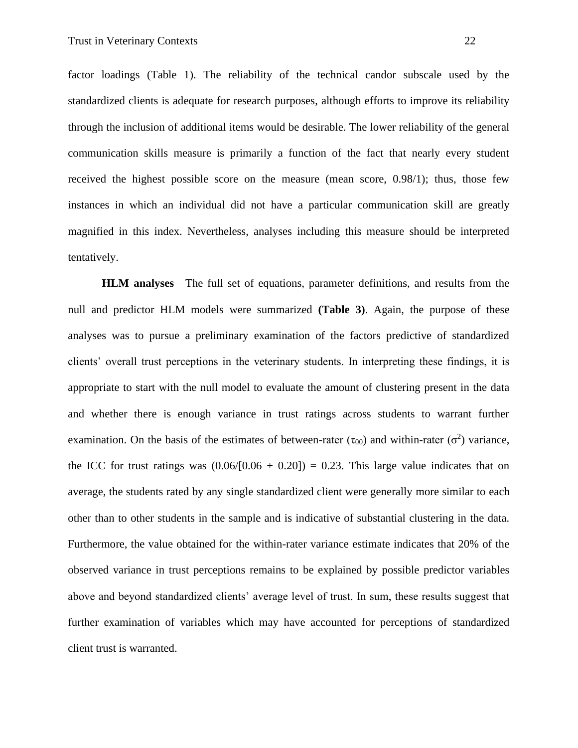factor loadings (Table 1). The reliability of the technical candor subscale used by the standardized clients is adequate for research purposes, although efforts to improve its reliability through the inclusion of additional items would be desirable. The lower reliability of the general communication skills measure is primarily a function of the fact that nearly every student received the highest possible score on the measure (mean score, 0.98/1); thus, those few instances in which an individual did not have a particular communication skill are greatly magnified in this index. Nevertheless, analyses including this measure should be interpreted tentatively.

**HLM analyses**—The full set of equations, parameter definitions, and results from the null and predictor HLM models were summarized **(Table 3)**. Again, the purpose of these analyses was to pursue a preliminary examination of the factors predictive of standardized clients' overall trust perceptions in the veterinary students. In interpreting these findings, it is appropriate to start with the null model to evaluate the amount of clustering present in the data and whether there is enough variance in trust ratings across students to warrant further examination. On the basis of the estimates of between-rater  $(\tau_{00})$  and within-rater  $(\sigma^2)$  variance, the ICC for trust ratings was  $(0.06/[0.06 + 0.20]) = 0.23$ . This large value indicates that on average, the students rated by any single standardized client were generally more similar to each other than to other students in the sample and is indicative of substantial clustering in the data. Furthermore, the value obtained for the within-rater variance estimate indicates that 20% of the observed variance in trust perceptions remains to be explained by possible predictor variables above and beyond standardized clients' average level of trust. In sum, these results suggest that further examination of variables which may have accounted for perceptions of standardized client trust is warranted.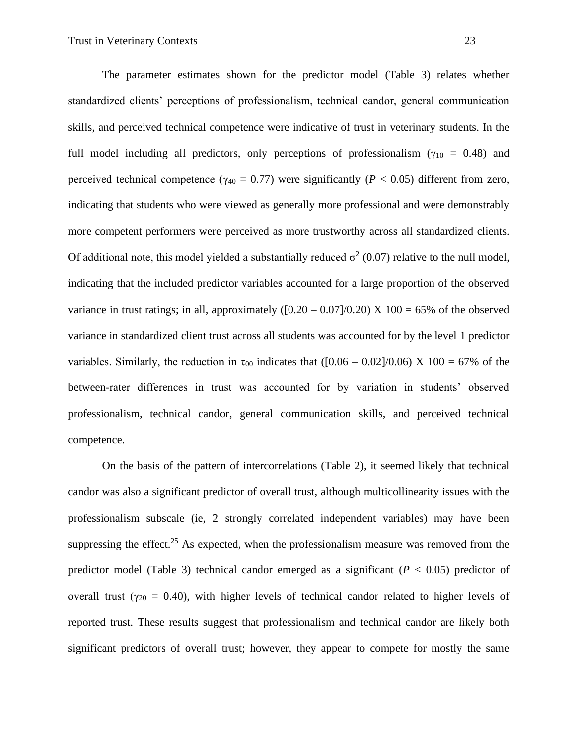The parameter estimates shown for the predictor model (Table 3) relates whether standardized clients' perceptions of professionalism, technical candor, general communication skills, and perceived technical competence were indicative of trust in veterinary students. In the full model including all predictors, only perceptions of professionalism ( $\gamma_{10} = 0.48$ ) and perceived technical competence ( $\gamma_{40} = 0.77$ ) were significantly ( $P < 0.05$ ) different from zero, indicating that students who were viewed as generally more professional and were demonstrably more competent performers were perceived as more trustworthy across all standardized clients. Of additional note, this model yielded a substantially reduced  $\sigma^2$  (0.07) relative to the null model, indicating that the included predictor variables accounted for a large proportion of the observed variance in trust ratings; in all, approximately  $([0.20 - 0.07]/0.20)$  X  $100 = 65%$  of the observed variance in standardized client trust across all students was accounted for by the level 1 predictor variables. Similarly, the reduction in  $\tau_{00}$  indicates that ([0.06 – 0.02]/0.06) X 100 = 67% of the between-rater differences in trust was accounted for by variation in students' observed professionalism, technical candor, general communication skills, and perceived technical competence.

On the basis of the pattern of intercorrelations (Table 2), it seemed likely that technical candor was also a significant predictor of overall trust, although multicollinearity issues with the professionalism subscale (ie, 2 strongly correlated independent variables) may have been suppressing the effect.<sup>25</sup> As expected, when the professionalism measure was removed from the predictor model (Table 3) technical candor emerged as a significant ( $P < 0.05$ ) predictor of overall trust ( $\gamma_{20} = 0.40$ ), with higher levels of technical candor related to higher levels of reported trust. These results suggest that professionalism and technical candor are likely both significant predictors of overall trust; however, they appear to compete for mostly the same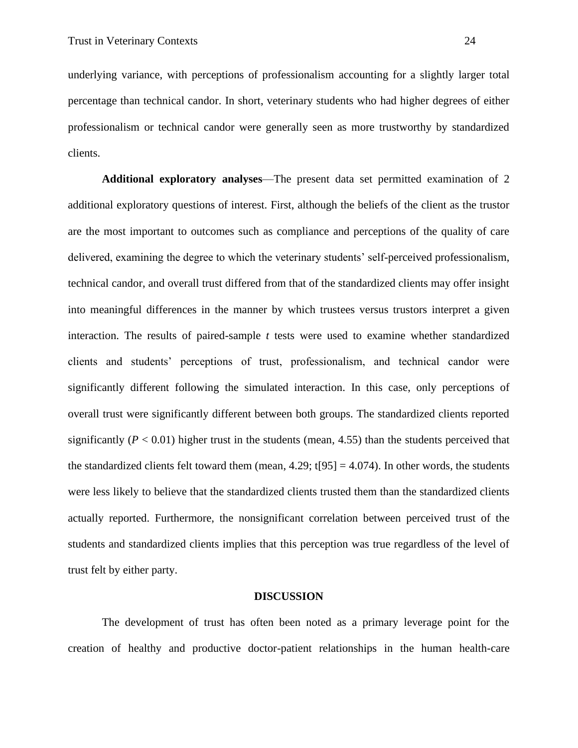underlying variance, with perceptions of professionalism accounting for a slightly larger total percentage than technical candor. In short, veterinary students who had higher degrees of either professionalism or technical candor were generally seen as more trustworthy by standardized clients.

**Additional exploratory analyses**—The present data set permitted examination of 2 additional exploratory questions of interest. First, although the beliefs of the client as the trustor are the most important to outcomes such as compliance and perceptions of the quality of care delivered, examining the degree to which the veterinary students' self-perceived professionalism, technical candor, and overall trust differed from that of the standardized clients may offer insight into meaningful differences in the manner by which trustees versus trustors interpret a given interaction. The results of paired-sample *t* tests were used to examine whether standardized clients and students' perceptions of trust, professionalism, and technical candor were significantly different following the simulated interaction. In this case, only perceptions of overall trust were significantly different between both groups. The standardized clients reported significantly  $(P < 0.01)$  higher trust in the students (mean, 4.55) than the students perceived that the standardized clients felt toward them (mean,  $4.29$ ;  $t[95] = 4.074$ ). In other words, the students were less likely to believe that the standardized clients trusted them than the standardized clients actually reported. Furthermore, the nonsignificant correlation between perceived trust of the students and standardized clients implies that this perception was true regardless of the level of trust felt by either party.

#### **DISCUSSION**

The development of trust has often been noted as a primary leverage point for the creation of healthy and productive doctor-patient relationships in the human health-care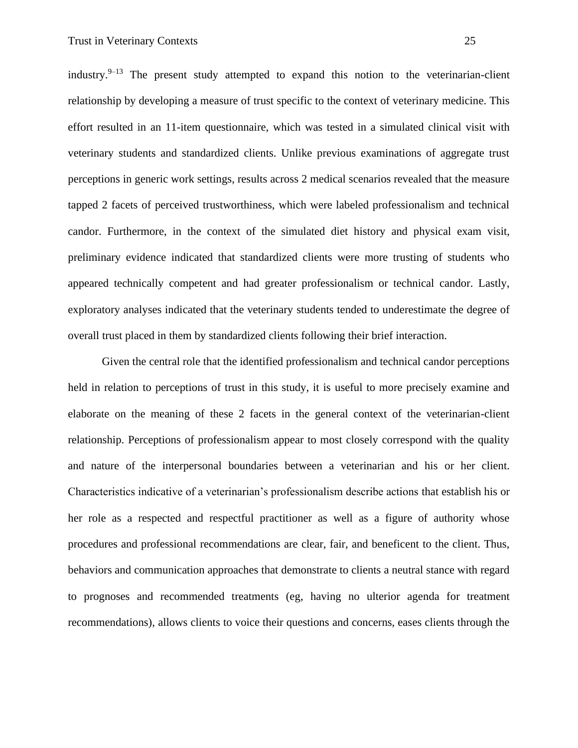industry. $9-13$  The present study attempted to expand this notion to the veterinarian-client relationship by developing a measure of trust specific to the context of veterinary medicine. This effort resulted in an 11-item questionnaire, which was tested in a simulated clinical visit with veterinary students and standardized clients. Unlike previous examinations of aggregate trust perceptions in generic work settings, results across 2 medical scenarios revealed that the measure tapped 2 facets of perceived trustworthiness, which were labeled professionalism and technical candor. Furthermore, in the context of the simulated diet history and physical exam visit, preliminary evidence indicated that standardized clients were more trusting of students who appeared technically competent and had greater professionalism or technical candor. Lastly, exploratory analyses indicated that the veterinary students tended to underestimate the degree of overall trust placed in them by standardized clients following their brief interaction.

Given the central role that the identified professionalism and technical candor perceptions held in relation to perceptions of trust in this study, it is useful to more precisely examine and elaborate on the meaning of these 2 facets in the general context of the veterinarian-client relationship. Perceptions of professionalism appear to most closely correspond with the quality and nature of the interpersonal boundaries between a veterinarian and his or her client. Characteristics indicative of a veterinarian's professionalism describe actions that establish his or her role as a respected and respectful practitioner as well as a figure of authority whose procedures and professional recommendations are clear, fair, and beneficent to the client. Thus, behaviors and communication approaches that demonstrate to clients a neutral stance with regard to prognoses and recommended treatments (eg, having no ulterior agenda for treatment recommendations), allows clients to voice their questions and concerns, eases clients through the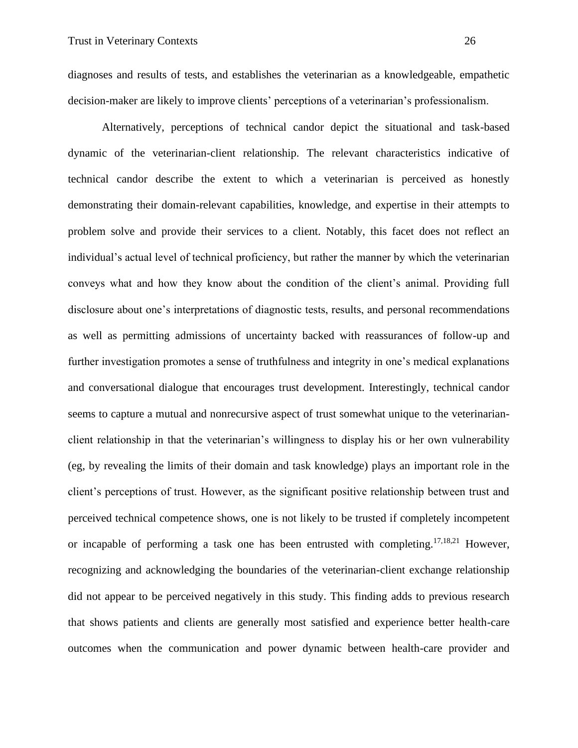diagnoses and results of tests, and establishes the veterinarian as a knowledgeable, empathetic decision-maker are likely to improve clients' perceptions of a veterinarian's professionalism.

Alternatively, perceptions of technical candor depict the situational and task-based dynamic of the veterinarian-client relationship. The relevant characteristics indicative of technical candor describe the extent to which a veterinarian is perceived as honestly demonstrating their domain-relevant capabilities, knowledge, and expertise in their attempts to problem solve and provide their services to a client. Notably, this facet does not reflect an individual's actual level of technical proficiency, but rather the manner by which the veterinarian conveys what and how they know about the condition of the client's animal. Providing full disclosure about one's interpretations of diagnostic tests, results, and personal recommendations as well as permitting admissions of uncertainty backed with reassurances of follow-up and further investigation promotes a sense of truthfulness and integrity in one's medical explanations and conversational dialogue that encourages trust development. Interestingly, technical candor seems to capture a mutual and nonrecursive aspect of trust somewhat unique to the veterinarianclient relationship in that the veterinarian's willingness to display his or her own vulnerability (eg, by revealing the limits of their domain and task knowledge) plays an important role in the client's perceptions of trust. However, as the significant positive relationship between trust and perceived technical competence shows, one is not likely to be trusted if completely incompetent or incapable of performing a task one has been entrusted with completing.17,18,21 However, recognizing and acknowledging the boundaries of the veterinarian-client exchange relationship did not appear to be perceived negatively in this study. This finding adds to previous research that shows patients and clients are generally most satisfied and experience better health-care outcomes when the communication and power dynamic between health-care provider and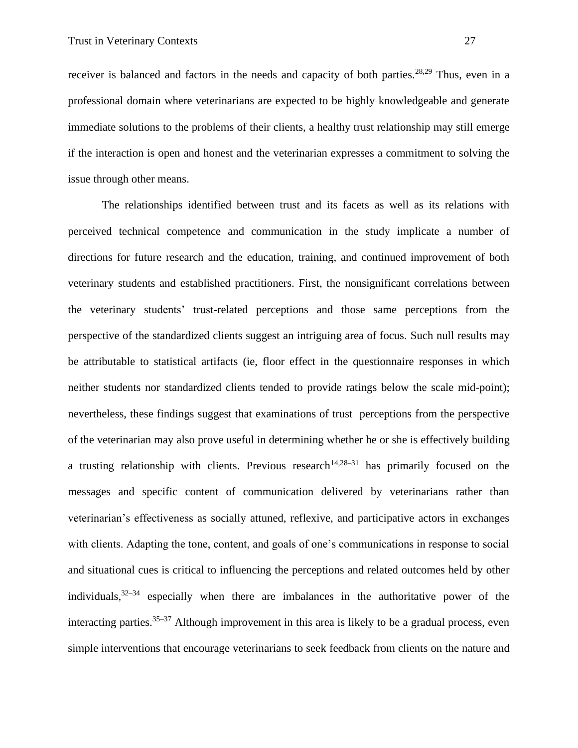receiver is balanced and factors in the needs and capacity of both parties.<sup>28,29</sup> Thus, even in a professional domain where veterinarians are expected to be highly knowledgeable and generate immediate solutions to the problems of their clients, a healthy trust relationship may still emerge if the interaction is open and honest and the veterinarian expresses a commitment to solving the issue through other means.

The relationships identified between trust and its facets as well as its relations with perceived technical competence and communication in the study implicate a number of directions for future research and the education, training, and continued improvement of both veterinary students and established practitioners. First, the nonsignificant correlations between the veterinary students' trust-related perceptions and those same perceptions from the perspective of the standardized clients suggest an intriguing area of focus. Such null results may be attributable to statistical artifacts (ie, floor effect in the questionnaire responses in which neither students nor standardized clients tended to provide ratings below the scale mid-point); nevertheless, these findings suggest that examinations of trust perceptions from the perspective of the veterinarian may also prove useful in determining whether he or she is effectively building a trusting relationship with clients. Previous research<sup>14,28–31</sup> has primarily focused on the messages and specific content of communication delivered by veterinarians rather than veterinarian's effectiveness as socially attuned, reflexive, and participative actors in exchanges with clients. Adapting the tone, content, and goals of one's communications in response to social and situational cues is critical to influencing the perceptions and related outcomes held by other individuals,  $32-34$  especially when there are imbalances in the authoritative power of the interacting parties.<sup>35–37</sup> Although improvement in this area is likely to be a gradual process, even simple interventions that encourage veterinarians to seek feedback from clients on the nature and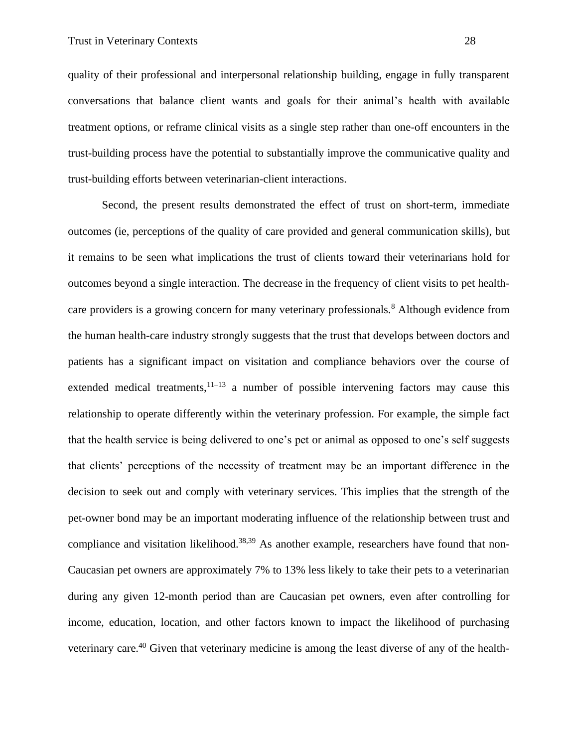quality of their professional and interpersonal relationship building, engage in fully transparent conversations that balance client wants and goals for their animal's health with available treatment options, or reframe clinical visits as a single step rather than one-off encounters in the trust-building process have the potential to substantially improve the communicative quality and trust-building efforts between veterinarian-client interactions.

Second, the present results demonstrated the effect of trust on short-term, immediate outcomes (ie, perceptions of the quality of care provided and general communication skills), but it remains to be seen what implications the trust of clients toward their veterinarians hold for outcomes beyond a single interaction. The decrease in the frequency of client visits to pet healthcare providers is a growing concern for many veterinary professionals.<sup>8</sup> Although evidence from the human health-care industry strongly suggests that the trust that develops between doctors and patients has a significant impact on visitation and compliance behaviors over the course of extended medical treatments,  $11-13$  a number of possible intervening factors may cause this relationship to operate differently within the veterinary profession. For example, the simple fact that the health service is being delivered to one's pet or animal as opposed to one's self suggests that clients' perceptions of the necessity of treatment may be an important difference in the decision to seek out and comply with veterinary services. This implies that the strength of the pet-owner bond may be an important moderating influence of the relationship between trust and compliance and visitation likelihood.<sup>38,39</sup> As another example, researchers have found that non-Caucasian pet owners are approximately 7% to 13% less likely to take their pets to a veterinarian during any given 12-month period than are Caucasian pet owners, even after controlling for income, education, location, and other factors known to impact the likelihood of purchasing veterinary care.<sup>40</sup> Given that veterinary medicine is among the least diverse of any of the health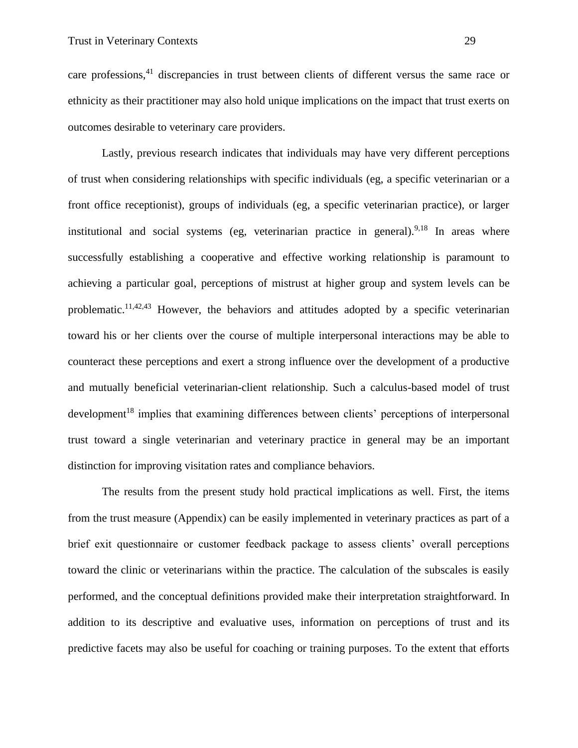care professions,<sup>41</sup> discrepancies in trust between clients of different versus the same race or ethnicity as their practitioner may also hold unique implications on the impact that trust exerts on outcomes desirable to veterinary care providers.

Lastly, previous research indicates that individuals may have very different perceptions of trust when considering relationships with specific individuals (eg, a specific veterinarian or a front office receptionist), groups of individuals (eg, a specific veterinarian practice), or larger institutional and social systems (eg, veterinarian practice in general). <sup>9,18</sup> In areas where successfully establishing a cooperative and effective working relationship is paramount to achieving a particular goal, perceptions of mistrust at higher group and system levels can be problematic.<sup>11,42,43</sup> However, the behaviors and attitudes adopted by a specific veterinarian toward his or her clients over the course of multiple interpersonal interactions may be able to counteract these perceptions and exert a strong influence over the development of a productive and mutually beneficial veterinarian-client relationship. Such a calculus-based model of trust development<sup>18</sup> implies that examining differences between clients' perceptions of interpersonal trust toward a single veterinarian and veterinary practice in general may be an important distinction for improving visitation rates and compliance behaviors.

The results from the present study hold practical implications as well. First, the items from the trust measure (Appendix) can be easily implemented in veterinary practices as part of a brief exit questionnaire or customer feedback package to assess clients' overall perceptions toward the clinic or veterinarians within the practice. The calculation of the subscales is easily performed, and the conceptual definitions provided make their interpretation straightforward. In addition to its descriptive and evaluative uses, information on perceptions of trust and its predictive facets may also be useful for coaching or training purposes. To the extent that efforts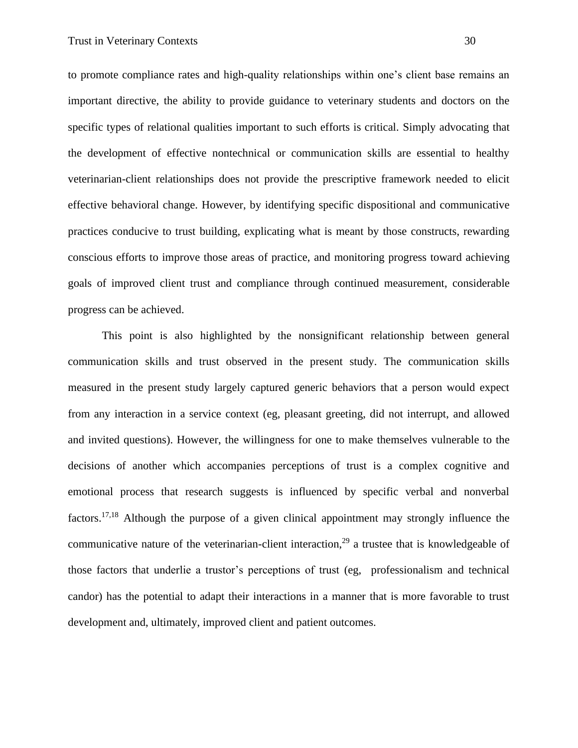to promote compliance rates and high-quality relationships within one's client base remains an important directive, the ability to provide guidance to veterinary students and doctors on the specific types of relational qualities important to such efforts is critical. Simply advocating that the development of effective nontechnical or communication skills are essential to healthy veterinarian-client relationships does not provide the prescriptive framework needed to elicit effective behavioral change. However, by identifying specific dispositional and communicative practices conducive to trust building, explicating what is meant by those constructs, rewarding conscious efforts to improve those areas of practice, and monitoring progress toward achieving goals of improved client trust and compliance through continued measurement, considerable progress can be achieved.

This point is also highlighted by the nonsignificant relationship between general communication skills and trust observed in the present study. The communication skills measured in the present study largely captured generic behaviors that a person would expect from any interaction in a service context (eg, pleasant greeting, did not interrupt, and allowed and invited questions). However, the willingness for one to make themselves vulnerable to the decisions of another which accompanies perceptions of trust is a complex cognitive and emotional process that research suggests is influenced by specific verbal and nonverbal factors.17,18 Although the purpose of a given clinical appointment may strongly influence the communicative nature of the veterinarian-client interaction,<sup>29</sup> a trustee that is knowledgeable of those factors that underlie a trustor's perceptions of trust (eg, professionalism and technical candor) has the potential to adapt their interactions in a manner that is more favorable to trust development and, ultimately, improved client and patient outcomes.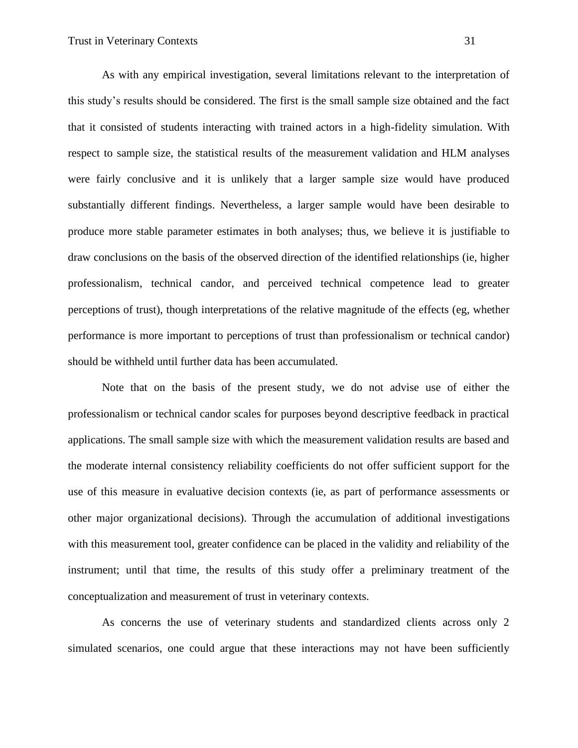As with any empirical investigation, several limitations relevant to the interpretation of this study's results should be considered. The first is the small sample size obtained and the fact that it consisted of students interacting with trained actors in a high-fidelity simulation. With respect to sample size, the statistical results of the measurement validation and HLM analyses were fairly conclusive and it is unlikely that a larger sample size would have produced substantially different findings. Nevertheless, a larger sample would have been desirable to produce more stable parameter estimates in both analyses; thus, we believe it is justifiable to draw conclusions on the basis of the observed direction of the identified relationships (ie, higher professionalism, technical candor, and perceived technical competence lead to greater perceptions of trust), though interpretations of the relative magnitude of the effects (eg, whether performance is more important to perceptions of trust than professionalism or technical candor) should be withheld until further data has been accumulated.

Note that on the basis of the present study, we do not advise use of either the professionalism or technical candor scales for purposes beyond descriptive feedback in practical applications. The small sample size with which the measurement validation results are based and the moderate internal consistency reliability coefficients do not offer sufficient support for the use of this measure in evaluative decision contexts (ie, as part of performance assessments or other major organizational decisions). Through the accumulation of additional investigations with this measurement tool, greater confidence can be placed in the validity and reliability of the instrument; until that time, the results of this study offer a preliminary treatment of the conceptualization and measurement of trust in veterinary contexts.

As concerns the use of veterinary students and standardized clients across only 2 simulated scenarios, one could argue that these interactions may not have been sufficiently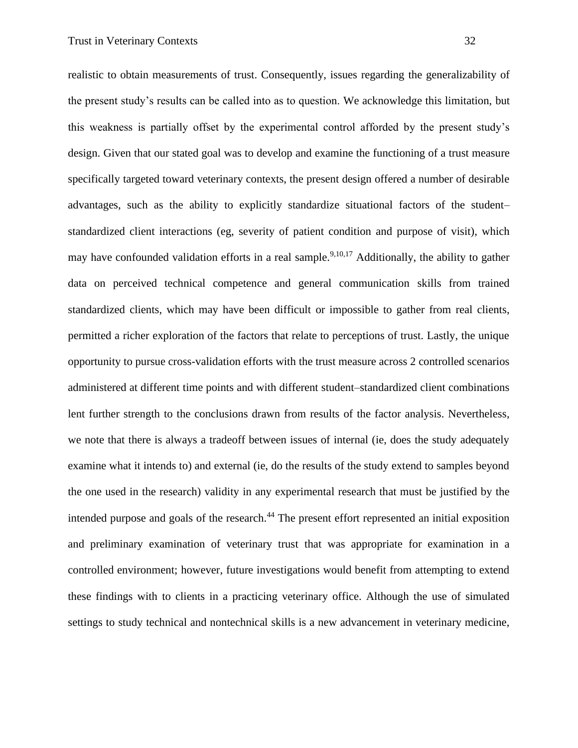realistic to obtain measurements of trust. Consequently, issues regarding the generalizability of the present study's results can be called into as to question. We acknowledge this limitation, but this weakness is partially offset by the experimental control afforded by the present study's design. Given that our stated goal was to develop and examine the functioning of a trust measure specifically targeted toward veterinary contexts, the present design offered a number of desirable advantages, such as the ability to explicitly standardize situational factors of the student– standardized client interactions (eg, severity of patient condition and purpose of visit), which may have confounded validation efforts in a real sample.<sup>9,10,17</sup> Additionally, the ability to gather data on perceived technical competence and general communication skills from trained standardized clients, which may have been difficult or impossible to gather from real clients, permitted a richer exploration of the factors that relate to perceptions of trust. Lastly, the unique opportunity to pursue cross-validation efforts with the trust measure across 2 controlled scenarios administered at different time points and with different student–standardized client combinations lent further strength to the conclusions drawn from results of the factor analysis. Nevertheless, we note that there is always a tradeoff between issues of internal (ie, does the study adequately examine what it intends to) and external (ie, do the results of the study extend to samples beyond the one used in the research) validity in any experimental research that must be justified by the intended purpose and goals of the research.<sup>44</sup> The present effort represented an initial exposition and preliminary examination of veterinary trust that was appropriate for examination in a controlled environment; however, future investigations would benefit from attempting to extend these findings with to clients in a practicing veterinary office. Although the use of simulated

settings to study technical and nontechnical skills is a new advancement in veterinary medicine,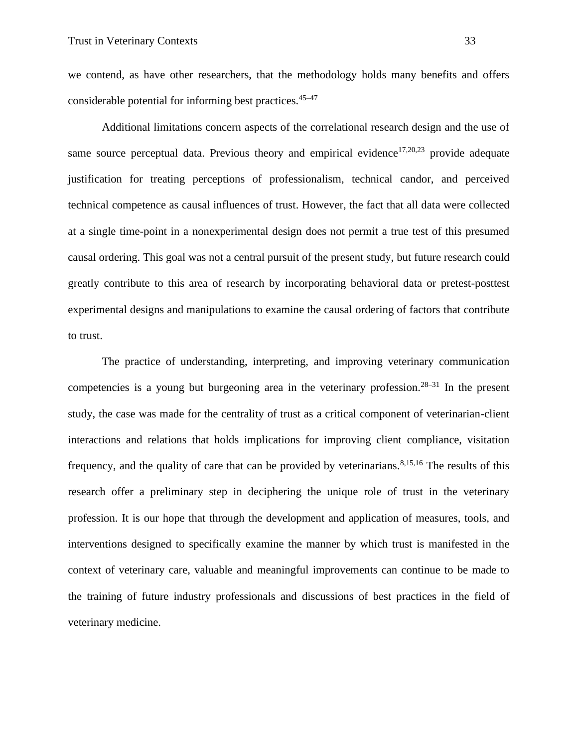we contend, as have other researchers, that the methodology holds many benefits and offers considerable potential for informing best practices.45–47

Additional limitations concern aspects of the correlational research design and the use of same source perceptual data. Previous theory and empirical evidence<sup>17,20,23</sup> provide adequate justification for treating perceptions of professionalism, technical candor, and perceived technical competence as causal influences of trust. However, the fact that all data were collected at a single time-point in a nonexperimental design does not permit a true test of this presumed causal ordering. This goal was not a central pursuit of the present study, but future research could greatly contribute to this area of research by incorporating behavioral data or pretest-posttest experimental designs and manipulations to examine the causal ordering of factors that contribute to trust.

The practice of understanding, interpreting, and improving veterinary communication competencies is a young but burgeoning area in the veterinary profession.<sup>28–31</sup> In the present study, the case was made for the centrality of trust as a critical component of veterinarian-client interactions and relations that holds implications for improving client compliance, visitation frequency, and the quality of care that can be provided by veterinarians.<sup>8,15,16</sup> The results of this research offer a preliminary step in deciphering the unique role of trust in the veterinary profession. It is our hope that through the development and application of measures, tools, and interventions designed to specifically examine the manner by which trust is manifested in the context of veterinary care, valuable and meaningful improvements can continue to be made to the training of future industry professionals and discussions of best practices in the field of veterinary medicine.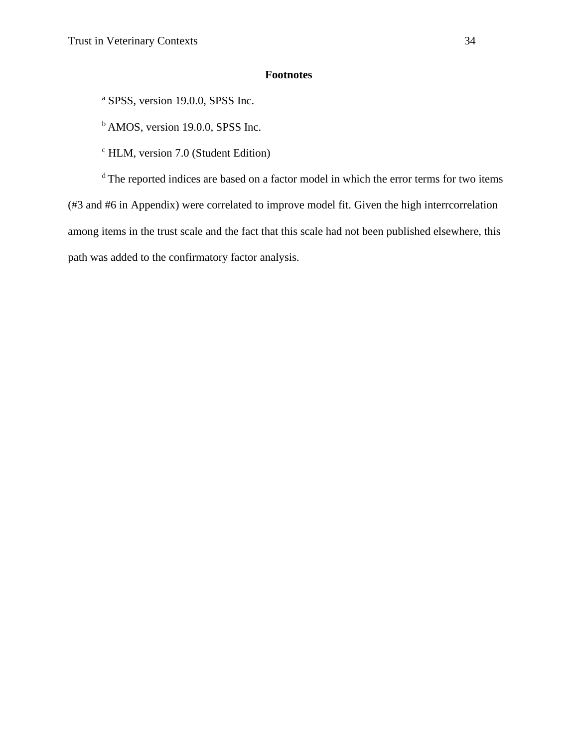# **Footnotes**

<sup>a</sup> SPSS, version 19.0.0, SPSS Inc.

<sup>b</sup> AMOS, version 19.0.0, SPSS Inc.

 $\textdegree$  HLM, version 7.0 (Student Edition)

<sup>d</sup> The reported indices are based on a factor model in which the error terms for two items (#3 and #6 in Appendix) were correlated to improve model fit. Given the high interrcorrelation among items in the trust scale and the fact that this scale had not been published elsewhere, this path was added to the confirmatory factor analysis.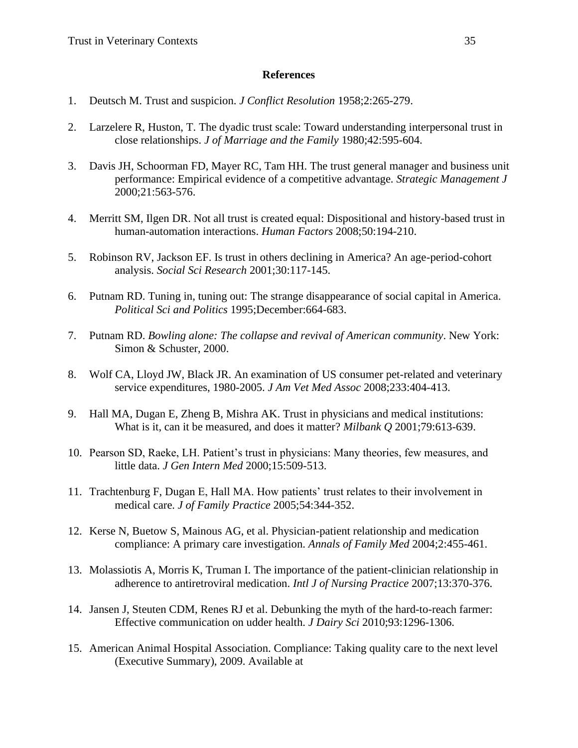## **References**

- 1. Deutsch M. Trust and suspicion. *J Conflict Resolution* 1958;2:265-279.
- 2. Larzelere R, Huston, T. The dyadic trust scale: Toward understanding interpersonal trust in close relationships. *J of Marriage and the Family* 1980;42:595-604.
- 3. Davis JH, Schoorman FD, Mayer RC, Tam HH. The trust general manager and business unit performance: Empirical evidence of a competitive advantage. *Strategic Management J* 2000;21:563-576.
- 4. Merritt SM, Ilgen DR. Not all trust is created equal: Dispositional and history-based trust in human-automation interactions. *Human Factors* 2008;50:194-210.
- 5. Robinson RV, Jackson EF. Is trust in others declining in America? An age-period-cohort analysis. *Social Sci Research* 2001;30:117-145.
- 6. Putnam RD. Tuning in, tuning out: The strange disappearance of social capital in America. *Political Sci and Politics* 1995;December:664-683.
- 7. Putnam RD. *Bowling alone: The collapse and revival of American community*. New York: Simon & Schuster, 2000.
- 8. Wolf CA, Lloyd JW, Black JR. An examination of US consumer pet-related and veterinary service expenditures, 1980-2005. *J Am Vet Med Assoc* 2008;233:404-413.
- 9. Hall MA, Dugan E, Zheng B, Mishra AK. Trust in physicians and medical institutions: What is it, can it be measured, and does it matter? *Milbank Q* 2001;79:613-639.
- 10. Pearson SD, Raeke, LH. Patient's trust in physicians: Many theories, few measures, and little data. *J Gen Intern Med* 2000;15:509-513.
- 11. Trachtenburg F, Dugan E, Hall MA. How patients' trust relates to their involvement in medical care. *J of Family Practice* 2005;54:344-352.
- 12. Kerse N, Buetow S, Mainous AG, et al. Physician-patient relationship and medication compliance: A primary care investigation. *Annals of Family Med* 2004;2:455-461.
- 13. Molassiotis A, Morris K, Truman I. The importance of the patient-clinician relationship in adherence to antiretroviral medication. *Intl J of Nursing Practice* 2007;13:370-376.
- 14. Jansen J, Steuten CDM, Renes RJ et al. Debunking the myth of the hard-to-reach farmer: Effective communication on udder health. *J Dairy Sci* 2010;93:1296-1306.
- 15. American Animal Hospital Association. Compliance: Taking quality care to the next level (Executive Summary), 2009. Available at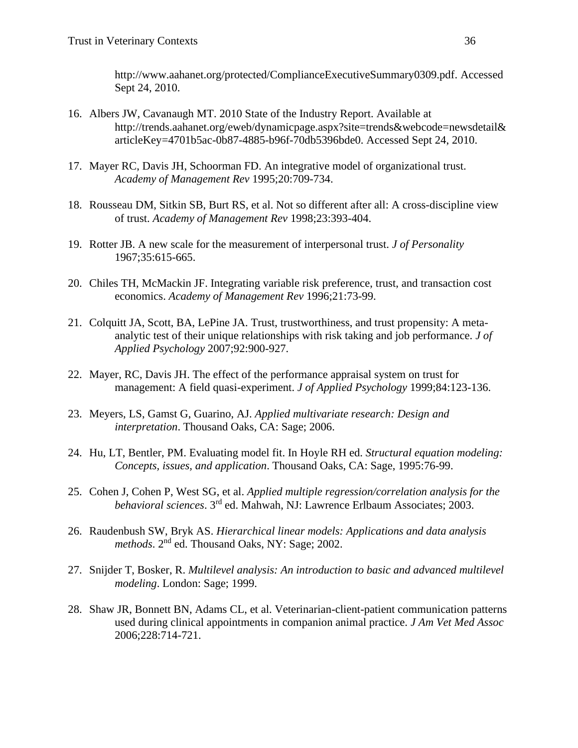http://www.aahanet.org/protected/ComplianceExecutiveSummary0309.pdf. Accessed Sept 24, 2010.

- 16. Albers JW, Cavanaugh MT. 2010 State of the Industry Report. Available at http://trends.aahanet.org/eweb/dynamicpage.aspx?site=trends&webcode=newsdetail& articleKey=4701b5ac-0b87-4885-b96f-70db5396bde0. Accessed Sept 24, 2010.
- 17. Mayer RC, Davis JH, Schoorman FD. An integrative model of organizational trust. *Academy of Management Rev* 1995;20:709-734.
- 18. Rousseau DM, Sitkin SB, Burt RS, et al. Not so different after all: A cross-discipline view of trust. *Academy of Management Rev* 1998;23:393-404.
- 19. Rotter JB. A new scale for the measurement of interpersonal trust. *J of Personality* 1967;35:615-665.
- 20. Chiles TH, McMackin JF. Integrating variable risk preference, trust, and transaction cost economics. *Academy of Management Rev* 1996;21:73-99.
- 21. Colquitt JA, Scott, BA, LePine JA. Trust, trustworthiness, and trust propensity: A metaanalytic test of their unique relationships with risk taking and job performance. *J of Applied Psychology* 2007;92:900-927.
- 22. Mayer, RC, Davis JH. The effect of the performance appraisal system on trust for management: A field quasi-experiment. *J of Applied Psychology* 1999;84:123-136.
- 23. Meyers, LS, Gamst G, Guarino, AJ. *Applied multivariate research: Design and interpretation*. Thousand Oaks, CA: Sage; 2006.
- 24. Hu, LT, Bentler, PM. Evaluating model fit. In Hoyle RH ed. *Structural equation modeling: Concepts, issues, and application*. Thousand Oaks, CA: Sage, 1995:76-99.
- 25. Cohen J, Cohen P, West SG, et al. *Applied multiple regression/correlation analysis for the behavioral sciences*. 3rd ed. Mahwah, NJ: Lawrence Erlbaum Associates; 2003.
- 26. Raudenbush SW, Bryk AS. *Hierarchical linear models: Applications and data analysis*  methods. 2<sup>nd</sup> ed. Thousand Oaks, NY: Sage; 2002.
- 27. Snijder T, Bosker, R. *Multilevel analysis: An introduction to basic and advanced multilevel modeling*. London: Sage; 1999.
- 28. Shaw JR, Bonnett BN, Adams CL, et al. Veterinarian-client-patient communication patterns used during clinical appointments in companion animal practice. *J Am Vet Med Assoc* 2006;228:714-721.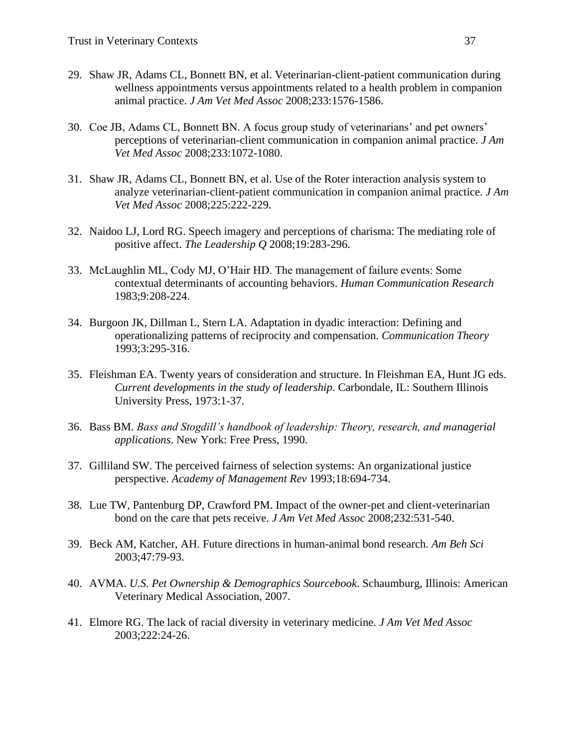- 29. Shaw JR, Adams CL, Bonnett BN, et al. Veterinarian-client-patient communication during wellness appointments versus appointments related to a health problem in companion animal practice. *J Am Vet Med Assoc* 2008;233:1576-1586.
- 30. Coe JB, Adams CL, Bonnett BN. A focus group study of veterinarians' and pet owners' perceptions of veterinarian-client communication in companion animal practice. *J Am Vet Med Assoc* 2008;233:1072-1080.
- 31. Shaw JR, Adams CL, Bonnett BN, et al. Use of the Roter interaction analysis system to analyze veterinarian-client-patient communication in companion animal practice. *J Am Vet Med Assoc* 2008;225:222-229.
- 32. Naidoo LJ, Lord RG. Speech imagery and perceptions of charisma: The mediating role of positive affect. *The Leadership Q* 2008;19:283-296.
- 33. McLaughlin ML, Cody MJ, O'Hair HD. The management of failure events: Some contextual determinants of accounting behaviors. *Human Communication Research* 1983;9:208-224.
- 34. Burgoon JK, Dillman L, Stern LA. Adaptation in dyadic interaction: Defining and operationalizing patterns of reciprocity and compensation. *Communication Theory* 1993;3:295-316.
- 35. Fleishman EA. Twenty years of consideration and structure. In Fleishman EA, Hunt JG eds. *Current developments in the study of leadership*. Carbondale, IL: Southern Illinois University Press, 1973:1-37.
- 36. Bass BM. *Bass and Stogdill's handbook of leadership: Theory, research, and managerial applications*. New York: Free Press, 1990.
- 37. Gilliland SW. The perceived fairness of selection systems: An organizational justice perspective. *Academy of Management Rev* 1993;18:694-734.
- 38. Lue TW, Pantenburg DP, Crawford PM. Impact of the owner-pet and client-veterinarian bond on the care that pets receive. *J Am Vet Med Assoc* 2008;232:531-540.
- 39. Beck AM, Katcher, AH. Future directions in human-animal bond research. *Am Beh Sci* 2003;47:79-93.
- 40. AVMA. *U.S. Pet Ownership & Demographics Sourcebook*. Schaumburg, Illinois: American Veterinary Medical Association, 2007.
- 41. Elmore RG. The lack of racial diversity in veterinary medicine. *J Am Vet Med Assoc* 2003;222:24-26.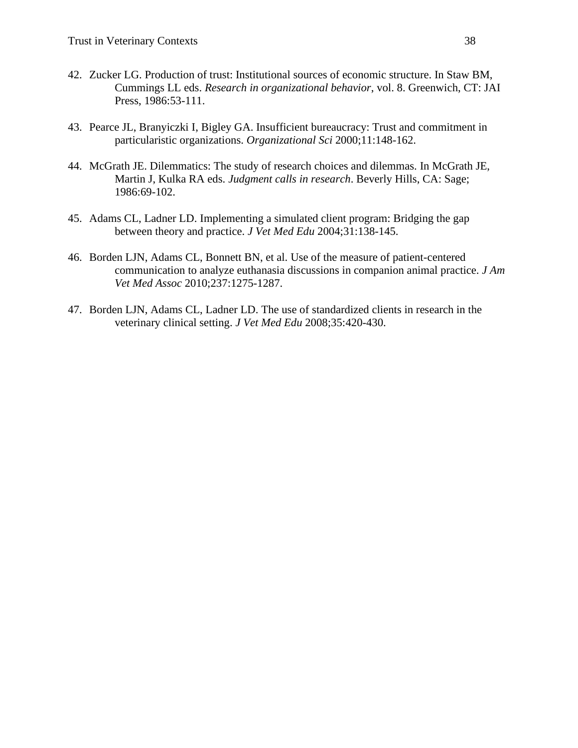- 42. Zucker LG. Production of trust: Institutional sources of economic structure. In Staw BM, Cummings LL eds. *Research in organizational behavior*, vol. 8. Greenwich, CT: JAI Press, 1986:53-111.
- 43. Pearce JL, Branyiczki I, Bigley GA. Insufficient bureaucracy: Trust and commitment in particularistic organizations. *Organizational Sci* 2000;11:148-162.
- 44. McGrath JE. Dilemmatics: The study of research choices and dilemmas. In McGrath JE, Martin J, Kulka RA eds. *Judgment calls in research*. Beverly Hills, CA: Sage; 1986:69-102.
- 45. Adams CL, Ladner LD. Implementing a simulated client program: Bridging the gap between theory and practice. *J Vet Med Edu* 2004;31:138-145.
- 46. Borden LJN, Adams CL, Bonnett BN, et al. Use of the measure of patient-centered communication to analyze euthanasia discussions in companion animal practice. *J Am Vet Med Assoc* 2010;237:1275-1287.
- 47. Borden LJN, Adams CL, Ladner LD. The use of standardized clients in research in the veterinary clinical setting. *J Vet Med Edu* 2008;35:420-430.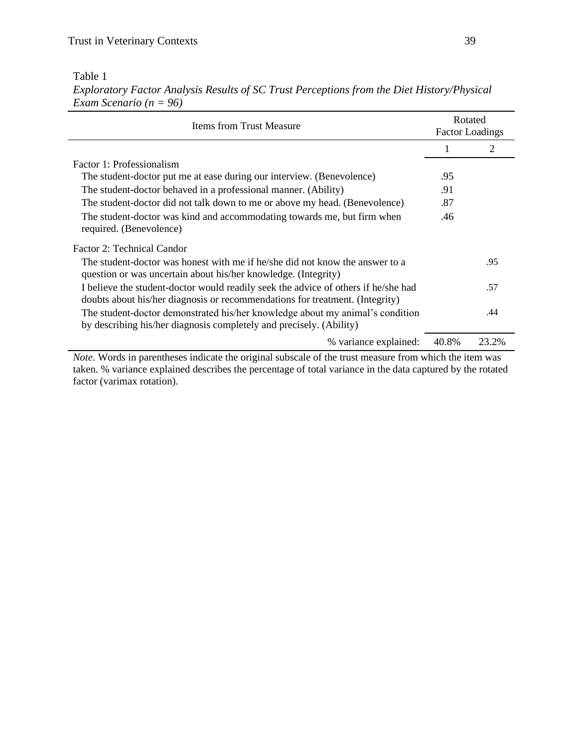Table 1

*Exploratory Factor Analysis Results of SC Trust Perceptions from the Diet History/Physical Exam Scenario (n = 96)*

| <b>Items from Trust Measure</b>                                                                                                                                    | Rotated<br><b>Factor Loadings</b> |       |  |
|--------------------------------------------------------------------------------------------------------------------------------------------------------------------|-----------------------------------|-------|--|
|                                                                                                                                                                    |                                   |       |  |
| Factor 1: Professionalism                                                                                                                                          |                                   |       |  |
| The student-doctor put me at ease during our interview. (Benevolence)                                                                                              | .95                               |       |  |
| The student-doctor behaved in a professional manner. (Ability)                                                                                                     | .91                               |       |  |
| The student-doctor did not talk down to me or above my head. (Benevolence)                                                                                         | .87                               |       |  |
| The student-doctor was kind and accommodating towards me, but firm when<br>required. (Benevolence)                                                                 | .46                               |       |  |
| Factor 2: Technical Candor                                                                                                                                         |                                   |       |  |
| The student-doctor was honest with me if he/she did not know the answer to a<br>question or was uncertain about his/her knowledge. (Integrity)                     |                                   | .95   |  |
| I believe the student-doctor would readily seek the advice of others if he/she had<br>doubts about his/her diagnosis or recommendations for treatment. (Integrity) |                                   | .57   |  |
| The student-doctor demonstrated his/her knowledge about my animal's condition<br>by describing his/her diagnosis completely and precisely. (Ability)               |                                   | .44   |  |
| % variance explained:                                                                                                                                              | 40.8%                             | 23.2% |  |

*Note*. Words in parentheses indicate the original subscale of the trust measure from which the item was taken. % variance explained describes the percentage of total variance in the data captured by the rotated factor (varimax rotation).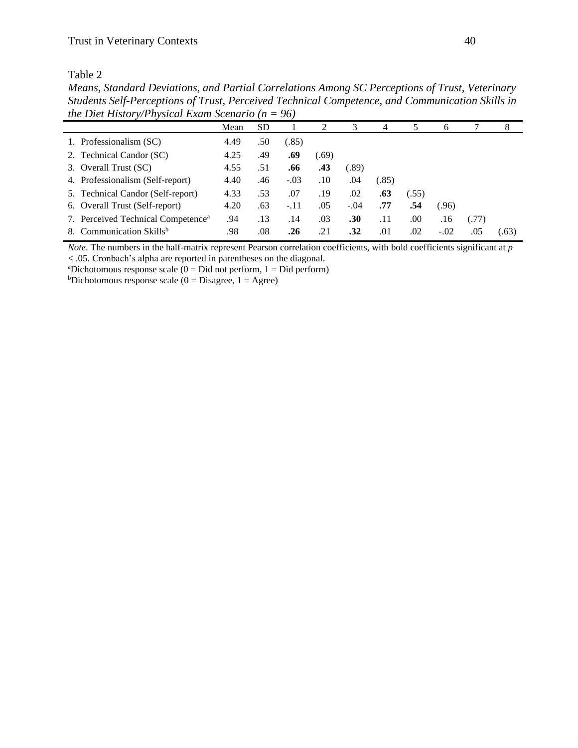Table 2

*Means, Standard Deviations, and Partial Correlations Among SC Perceptions of Trust, Veterinary Students Self-Perceptions of Trust, Perceived Technical Competence, and Communication Skills in the Diet History/Physical Exam Scenario (n = 96)*

|                                                | Mean | <b>SD</b> |        |       | 3      | 4     |       | 6      |       | 8     |
|------------------------------------------------|------|-----------|--------|-------|--------|-------|-------|--------|-------|-------|
| 1. Professionalism (SC)                        | 4.49 | .50       | (.85)  |       |        |       |       |        |       |       |
| 2. Technical Candor (SC)                       | 4.25 | .49       | .69    | (.69) |        |       |       |        |       |       |
| 3. Overall Trust (SC)                          | 4.55 | .51       | .66    | .43   | (.89)  |       |       |        |       |       |
| 4. Professionalism (Self-report)               | 4.40 | .46       | $-.03$ | .10   | .04    | (.85) |       |        |       |       |
| 5. Technical Candor (Self-report)              | 4.33 | .53       | .07    | .19   | .02    | .63   | (.55) |        |       |       |
| 6. Overall Trust (Self-report)                 | 4.20 | .63       | $-.11$ | .05   | $-.04$ | .77   | .54   | (.96)  |       |       |
| 7. Perceived Technical Competence <sup>a</sup> | .94  | .13       | .14    | .03   | .30    | .11   | .00   | .16    | (.77) |       |
| 8. Communication Skills <sup>b</sup>           | .98  | .08       | .26    | .21   | .32    | .01   | .02   | $-.02$ | .05   | (.63) |

*Note*. The numbers in the half-matrix represent Pearson correlation coefficients, with bold coefficients significant at *p*  < .05. Cronbach's alpha are reported in parentheses on the diagonal.

<sup>a</sup>Dichotomous response scale ( $0 = Did$  not perform,  $1 = Did$  perform)

 $b$ Dichotomous response scale (0 = Disagree, 1 = Agree)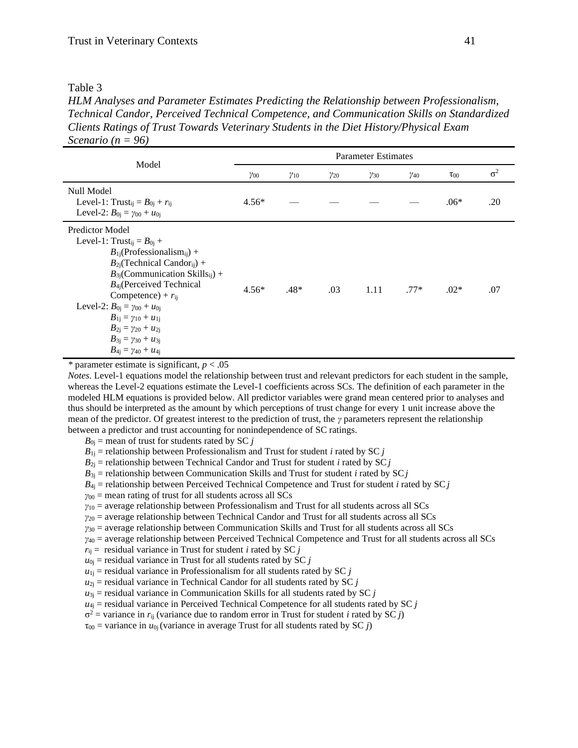| ۱<br>L<br>. . |  |
|---------------|--|
|               |  |

*HLM Analyses and Parameter Estimates Predicting the Relationship between Professionalism, Technical Candor, Perceived Technical Competence, and Communication Skills on Standardized Clients Ratings of Trust Towards Veterinary Students in the Diet History/Physical Exam Scenario (n = 96)*

|                                                                                                                                                                                                                                                                                                                                                                                                                                                                          | <b>Parameter Estimates</b> |               |               |               |               |             |            |  |
|--------------------------------------------------------------------------------------------------------------------------------------------------------------------------------------------------------------------------------------------------------------------------------------------------------------------------------------------------------------------------------------------------------------------------------------------------------------------------|----------------------------|---------------|---------------|---------------|---------------|-------------|------------|--|
| Model                                                                                                                                                                                                                                                                                                                                                                                                                                                                    | $\gamma_{00}$              | $\gamma_{10}$ | $\gamma_{20}$ | $\gamma_{30}$ | $\gamma_{40}$ | $\tau_{00}$ | $\sigma^2$ |  |
| Null Model<br>Level-1: Trust <sub>ij</sub> = $B_{0i}$ + $r_{ii}$<br>Level-2: $B_{0i} = \gamma_{00} + u_{0i}$                                                                                                                                                                                                                                                                                                                                                             | $4.56*$                    |               |               |               |               | $.06*$      | .20        |  |
| <b>Predictor Model</b><br>Level-1: Trust <sub>ij</sub> = $B_{0i}$ +<br>$B_{1i}$ (Professionalism <sub>ii</sub> ) +<br>$B_{2i}$ (Technical Candor <sub>ii</sub> ) +<br>$B_{3i}$ (Communication Skills <sub>ii</sub> ) +<br>$B_{4}$ (Perceived Technical<br>Competence) + $r_{ii}$<br>Level-2: $B_{0i} = \gamma_{00} + u_{0i}$<br>$B_{1i} = \gamma_{10} + u_{1i}$<br>$B_{2j} = \gamma_{20} + u_{2j}$<br>$B_{3i} = \gamma_{30} + u_{3i}$<br>$B_{4i} = \gamma_{40} + u_{4i}$ | $4.56*$                    | $.48*$        | .03           | 1.11          | $.77*$        | $.02*$      | .07        |  |

*\** parameter estimate is significant, *p* < .05

*Notes*. Level-1 equations model the relationship between trust and relevant predictors for each student in the sample, whereas the Level-2 equations estimate the Level-1 coefficients across SCs. The definition of each parameter in the modeled HLM equations is provided below. All predictor variables were grand mean centered prior to analyses and thus should be interpreted as the amount by which perceptions of trust change for every 1 unit increase above the mean of the predictor. Of greatest interest to the prediction of trust, the *γ* parameters represent the relationship between a predictor and trust accounting for nonindependence of SC ratings.

 $B_{0i}$  = mean of trust for students rated by SC *j* 

 $B_{1j}$  = relationship between Professionalism and Trust for student *i* rated by SC *j* 

 $B_{2j}$  = relationship between Technical Candor and Trust for student *i* rated by SC *j* 

 $B_{3i}$  = relationship between Communication Skills and Trust for student *i* rated by SC *j* 

 $B_{4i}$  = relationship between Perceived Technical Competence and Trust for student *i* rated by SC *j* 

*γ*<sup>00</sup> = mean rating of trust for all students across all SCs

*γ*<sup>10</sup> = average relationship between Professionalism and Trust for all students across all SCs

*γ*<sup>20</sup> = average relationship between Technical Candor and Trust for all students across all SCs

*γ*<sup>30</sup> = average relationship between Communication Skills and Trust for all students across all SCs

*γ*<sup>40</sup> = average relationship between Perceived Technical Competence and Trust for all students across all SCs

- $r_{ij}$  = residual variance in Trust for student *i* rated by SC *j*
- $u_{0j}$  = residual variance in Trust for all students rated by SC *j*
- $u_{1j}$  = residual variance in Professionalism for all students rated by SC *j*
- $u_{2j}$  = residual variance in Technical Candor for all students rated by SC  $j$
- $u_{3j}$  = residual variance in Communication Skills for all students rated by SC  $j$

 $u_{4j}$  = residual variance in Perceived Technical Competence for all students rated by SC *j* 

 $\sigma^2$  = variance in  $r_{ij}$  (variance due to random error in Trust for student *i* rated by SC *j*)

 $\tau_{00}$  = variance in  $u_{0i}$  (variance in average Trust for all students rated by SC *j*)